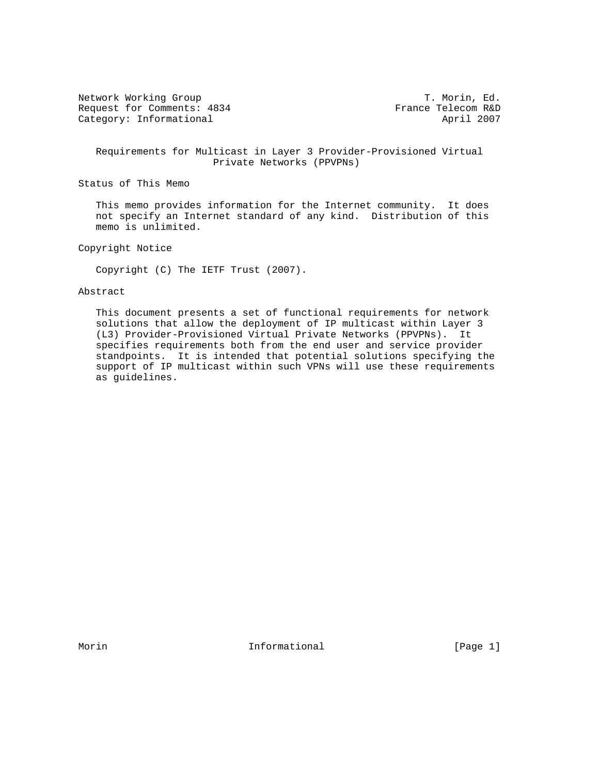Network Working Group T. Morin, Ed. Request for Comments: 4834 France Telecom R&D Category: Informational April 2007

 Requirements for Multicast in Layer 3 Provider-Provisioned Virtual Private Networks (PPVPNs)

Status of This Memo

 This memo provides information for the Internet community. It does not specify an Internet standard of any kind. Distribution of this memo is unlimited.

Copyright Notice

Copyright (C) The IETF Trust (2007).

#### Abstract

 This document presents a set of functional requirements for network solutions that allow the deployment of IP multicast within Layer 3 (L3) Provider-Provisioned Virtual Private Networks (PPVPNs). It specifies requirements both from the end user and service provider standpoints. It is intended that potential solutions specifying the support of IP multicast within such VPNs will use these requirements as guidelines.

Morin **Informational Informational Informational** [Page 1]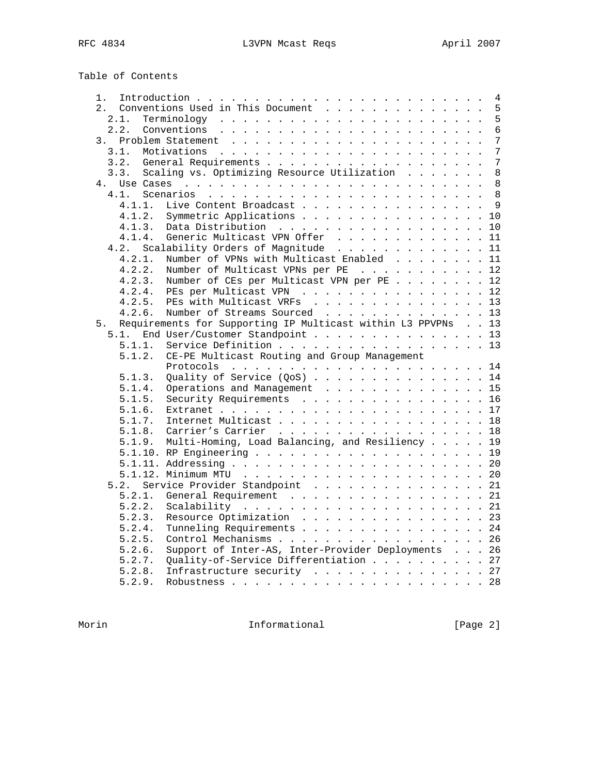Table of Contents

| 1.     |                                                              | $\overline{4}$ |
|--------|--------------------------------------------------------------|----------------|
| $2$ .  | Conventions Used in This Document                            | 5              |
| 2.1.   |                                                              | 5              |
| 2.2.   |                                                              | $\overline{6}$ |
| 3.     |                                                              | 7              |
| 3.1.   |                                                              | 7              |
| 3.2.   |                                                              | 7              |
| 3.3.   | Scaling vs. Optimizing Resource Utilization                  | 8              |
| 4.     |                                                              | 8              |
| 4.1.   |                                                              | 8              |
| 4.1.1. | Live Content Broadcast                                       | 9              |
| 4.1.2. | Symmetric Applications                                       | 10             |
| 4.1.3. | Data Distribution                                            | 10             |
| 4.1.4. | Generic Multicast VPN Offer                                  | 11             |
| 4.2.   | Scalability Orders of Magnitude                              | 11             |
| 4.2.1. | Number of VPNs with Multicast Enabled                        | 11             |
| 4.2.2. | Number of Multicast VPNs per PE                              | 12             |
|        | Number of CEs per Multicast VPN per PE                       |                |
| 4.2.3. |                                                              | 12             |
| 4.2.4. | PEs per Multicast VPN                                        | 12             |
| 4.2.5. | PEs with Multicast VRFs 13                                   |                |
| 4.2.6. | Number of Streams Sourced 13                                 |                |
| 5.     | Requirements for Supporting IP Multicast within L3 PPVPNs 13 |                |
| 5.1.   | End User/Customer Standpoint 13                              |                |
| 5.1.1. | Service Definition 13                                        |                |
| 5.1.2. | CE-PE Multicast Routing and Group Management                 |                |
|        |                                                              | 14             |
| 5.1.3. | Quality of Service $(QoS)$ 14                                |                |
| 5.1.4. | Operations and Management 15                                 |                |
| 5.1.5. | Security Requirements 16                                     |                |
| 5.1.6. |                                                              |                |
| 5.1.7. | Internet Multicast 18                                        |                |
| 5.1.8. | Carrier's Carrier 18                                         |                |
| 5.1.9. | Multi-Homing, Load Balancing, and Resiliency 19              |                |
|        |                                                              |                |
|        |                                                              | 20             |
|        |                                                              | 20             |
| 5.2.   | Service Provider Standpoint 21                               |                |
| 5.2.1. | General Requirement                                          | 21             |
| 5.2.2. |                                                              | 21             |
| 5.2.3. | Resource Optimization 23                                     |                |
| 5.2.4. | Tunneling Requirements 24                                    |                |
| 5.2.5. | Control Mechanisms 26                                        |                |
| 5.2.6. | Support of Inter-AS, Inter-Provider Deployments 26           |                |
| 5.2.7. | Quality-of-Service Differentiation 27                        |                |
| 5.2.8. | Infrastructure security 27                                   |                |
| 5.2.9. |                                                              |                |
|        |                                                              |                |

Morin 10.1 Informational 1000 [Page 2]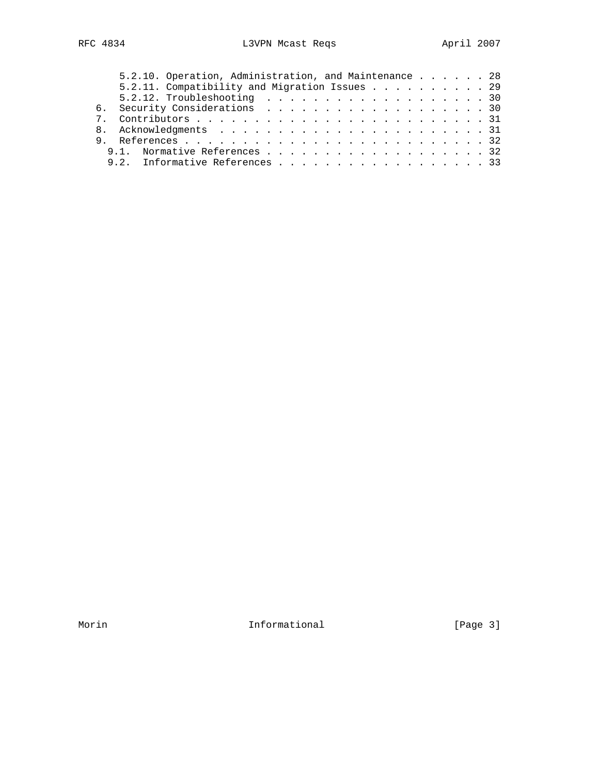|  |  | 5.2.10. Operation, Administration, and Maintenance 28 |  |  |  |  |  |  |  |  |  |  |  |  |
|--|--|-------------------------------------------------------|--|--|--|--|--|--|--|--|--|--|--|--|
|  |  | 5.2.11. Compatibility and Migration Issues 29         |  |  |  |  |  |  |  |  |  |  |  |  |
|  |  | 5.2.12. Troubleshooting $\ldots$ 30                   |  |  |  |  |  |  |  |  |  |  |  |  |
|  |  | 6. Security Considerations 30                         |  |  |  |  |  |  |  |  |  |  |  |  |
|  |  |                                                       |  |  |  |  |  |  |  |  |  |  |  |  |
|  |  |                                                       |  |  |  |  |  |  |  |  |  |  |  |  |
|  |  |                                                       |  |  |  |  |  |  |  |  |  |  |  |  |
|  |  | 9.1. Normative References 32                          |  |  |  |  |  |  |  |  |  |  |  |  |
|  |  | 9.2. Informative References 33                        |  |  |  |  |  |  |  |  |  |  |  |  |

Morin 10.1 Informational 1000 Informational Fage 3]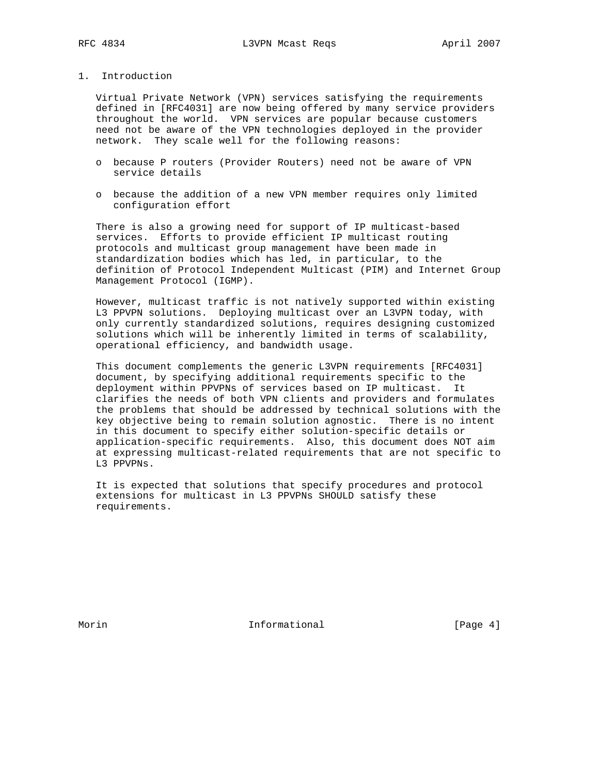## 1. Introduction

 Virtual Private Network (VPN) services satisfying the requirements defined in [RFC4031] are now being offered by many service providers throughout the world. VPN services are popular because customers need not be aware of the VPN technologies deployed in the provider network. They scale well for the following reasons:

- o because P routers (Provider Routers) need not be aware of VPN service details
- o because the addition of a new VPN member requires only limited configuration effort

 There is also a growing need for support of IP multicast-based services. Efforts to provide efficient IP multicast routing protocols and multicast group management have been made in standardization bodies which has led, in particular, to the definition of Protocol Independent Multicast (PIM) and Internet Group Management Protocol (IGMP).

 However, multicast traffic is not natively supported within existing L3 PPVPN solutions. Deploying multicast over an L3VPN today, with only currently standardized solutions, requires designing customized solutions which will be inherently limited in terms of scalability, operational efficiency, and bandwidth usage.

 This document complements the generic L3VPN requirements [RFC4031] document, by specifying additional requirements specific to the deployment within PPVPNs of services based on IP multicast. It clarifies the needs of both VPN clients and providers and formulates the problems that should be addressed by technical solutions with the key objective being to remain solution agnostic. There is no intent in this document to specify either solution-specific details or application-specific requirements. Also, this document does NOT aim at expressing multicast-related requirements that are not specific to L3 PPVPNs.

 It is expected that solutions that specify procedures and protocol extensions for multicast in L3 PPVPNs SHOULD satisfy these requirements.

Morin **Informational Informational** [Page 4]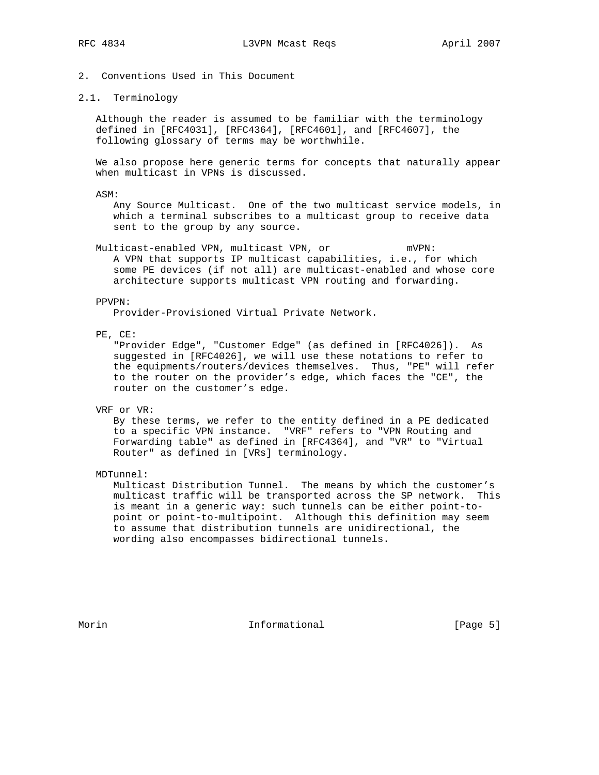2. Conventions Used in This Document

### 2.1. Terminology

 Although the reader is assumed to be familiar with the terminology defined in [RFC4031], [RFC4364], [RFC4601], and [RFC4607], the following glossary of terms may be worthwhile.

 We also propose here generic terms for concepts that naturally appear when multicast in VPNs is discussed.

ASM:

 Any Source Multicast. One of the two multicast service models, in which a terminal subscribes to a multicast group to receive data sent to the group by any source.

 Multicast-enabled VPN, multicast VPN, or mVPN: A VPN that supports IP multicast capabilities, i.e., for which some PE devices (if not all) are multicast-enabled and whose core architecture supports multicast VPN routing and forwarding.

#### PPVPN:

Provider-Provisioned Virtual Private Network.

PE, CE:

 "Provider Edge", "Customer Edge" (as defined in [RFC4026]). As suggested in [RFC4026], we will use these notations to refer to the equipments/routers/devices themselves. Thus, "PE" will refer to the router on the provider's edge, which faces the "CE", the router on the customer's edge.

#### VRF or VR:

 By these terms, we refer to the entity defined in a PE dedicated to a specific VPN instance. "VRF" refers to "VPN Routing and Forwarding table" as defined in [RFC4364], and "VR" to "Virtual Router" as defined in [VRs] terminology.

MDTunnel:

 Multicast Distribution Tunnel. The means by which the customer's multicast traffic will be transported across the SP network. This is meant in a generic way: such tunnels can be either point-to point or point-to-multipoint. Although this definition may seem to assume that distribution tunnels are unidirectional, the wording also encompasses bidirectional tunnels.

Morin **Informational Informational** [Page 5]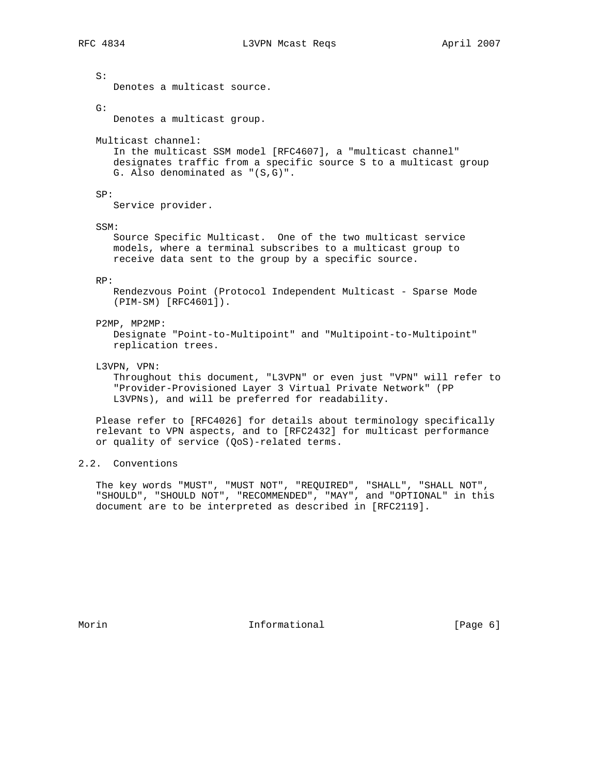S:

Denotes a multicast source.

G:

Denotes a multicast group.

Multicast channel:

 In the multicast SSM model [RFC4607], a "multicast channel" designates traffic from a specific source S to a multicast group G. Also denominated as "(S,G)".

SP:

Service provider.

SSM:

 Source Specific Multicast. One of the two multicast service models, where a terminal subscribes to a multicast group to receive data sent to the group by a specific source.

#### RP:

 Rendezvous Point (Protocol Independent Multicast - Sparse Mode (PIM-SM) [RFC4601]).

#### P2MP, MP2MP:

 Designate "Point-to-Multipoint" and "Multipoint-to-Multipoint" replication trees.

### L3VPN, VPN:

 Throughout this document, "L3VPN" or even just "VPN" will refer to "Provider-Provisioned Layer 3 Virtual Private Network" (PP L3VPNs), and will be preferred for readability.

 Please refer to [RFC4026] for details about terminology specifically relevant to VPN aspects, and to [RFC2432] for multicast performance or quality of service (QoS)-related terms.

# 2.2. Conventions

 The key words "MUST", "MUST NOT", "REQUIRED", "SHALL", "SHALL NOT", "SHOULD", "SHOULD NOT", "RECOMMENDED", "MAY", and "OPTIONAL" in this document are to be interpreted as described in [RFC2119].

Morin **Informational Informational** [Page 6]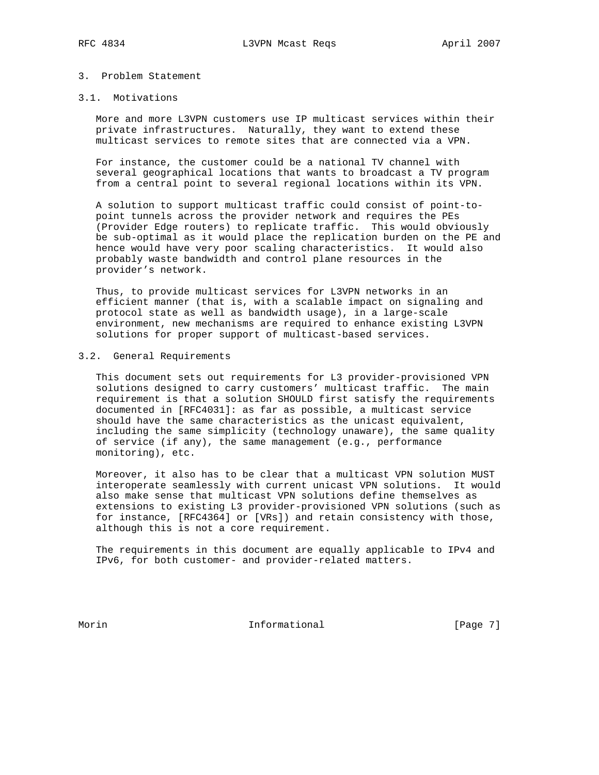### 3. Problem Statement

### 3.1. Motivations

 More and more L3VPN customers use IP multicast services within their private infrastructures. Naturally, they want to extend these multicast services to remote sites that are connected via a VPN.

 For instance, the customer could be a national TV channel with several geographical locations that wants to broadcast a TV program from a central point to several regional locations within its VPN.

 A solution to support multicast traffic could consist of point-to point tunnels across the provider network and requires the PEs (Provider Edge routers) to replicate traffic. This would obviously be sub-optimal as it would place the replication burden on the PE and hence would have very poor scaling characteristics. It would also probably waste bandwidth and control plane resources in the provider's network.

 Thus, to provide multicast services for L3VPN networks in an efficient manner (that is, with a scalable impact on signaling and protocol state as well as bandwidth usage), in a large-scale environment, new mechanisms are required to enhance existing L3VPN solutions for proper support of multicast-based services.

## 3.2. General Requirements

 This document sets out requirements for L3 provider-provisioned VPN solutions designed to carry customers' multicast traffic. The main requirement is that a solution SHOULD first satisfy the requirements documented in [RFC4031]: as far as possible, a multicast service should have the same characteristics as the unicast equivalent, including the same simplicity (technology unaware), the same quality of service (if any), the same management (e.g., performance monitoring), etc.

 Moreover, it also has to be clear that a multicast VPN solution MUST interoperate seamlessly with current unicast VPN solutions. It would also make sense that multicast VPN solutions define themselves as extensions to existing L3 provider-provisioned VPN solutions (such as for instance, [RFC4364] or [VRs]) and retain consistency with those, although this is not a core requirement.

 The requirements in this document are equally applicable to IPv4 and IPv6, for both customer- and provider-related matters.

Morin **Informational Informational** [Page 7]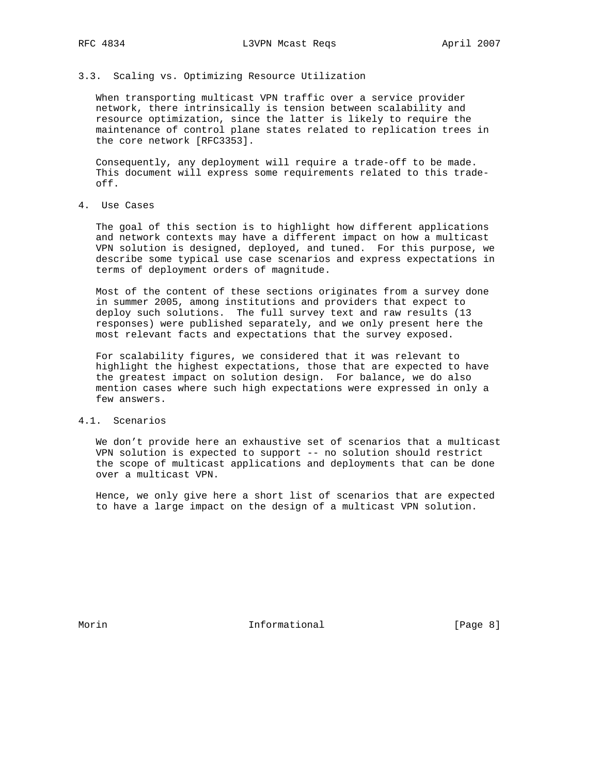## 3.3. Scaling vs. Optimizing Resource Utilization

 When transporting multicast VPN traffic over a service provider network, there intrinsically is tension between scalability and resource optimization, since the latter is likely to require the maintenance of control plane states related to replication trees in the core network [RFC3353].

 Consequently, any deployment will require a trade-off to be made. This document will express some requirements related to this trade off.

# 4. Use Cases

 The goal of this section is to highlight how different applications and network contexts may have a different impact on how a multicast VPN solution is designed, deployed, and tuned. For this purpose, we describe some typical use case scenarios and express expectations in terms of deployment orders of magnitude.

 Most of the content of these sections originates from a survey done in summer 2005, among institutions and providers that expect to deploy such solutions. The full survey text and raw results (13 responses) were published separately, and we only present here the most relevant facts and expectations that the survey exposed.

 For scalability figures, we considered that it was relevant to highlight the highest expectations, those that are expected to have the greatest impact on solution design. For balance, we do also mention cases where such high expectations were expressed in only a few answers.

## 4.1. Scenarios

 We don't provide here an exhaustive set of scenarios that a multicast VPN solution is expected to support -- no solution should restrict the scope of multicast applications and deployments that can be done over a multicast VPN.

 Hence, we only give here a short list of scenarios that are expected to have a large impact on the design of a multicast VPN solution.

Morin **Informational Informational** [Page 8]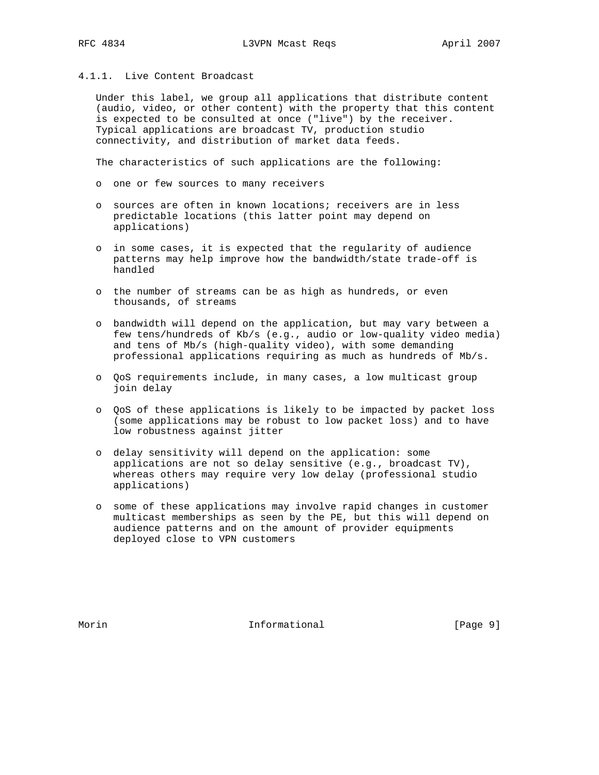# 4.1.1. Live Content Broadcast

 Under this label, we group all applications that distribute content (audio, video, or other content) with the property that this content is expected to be consulted at once ("live") by the receiver. Typical applications are broadcast TV, production studio connectivity, and distribution of market data feeds.

The characteristics of such applications are the following:

- o one or few sources to many receivers
- o sources are often in known locations; receivers are in less predictable locations (this latter point may depend on applications)
- o in some cases, it is expected that the regularity of audience patterns may help improve how the bandwidth/state trade-off is handled
- o the number of streams can be as high as hundreds, or even thousands, of streams
- o bandwidth will depend on the application, but may vary between a few tens/hundreds of Kb/s (e.g., audio or low-quality video media) and tens of Mb/s (high-quality video), with some demanding professional applications requiring as much as hundreds of Mb/s.
- o QoS requirements include, in many cases, a low multicast group join delay
- o QoS of these applications is likely to be impacted by packet loss (some applications may be robust to low packet loss) and to have low robustness against jitter
- o delay sensitivity will depend on the application: some applications are not so delay sensitive (e.g., broadcast TV), whereas others may require very low delay (professional studio applications)
- o some of these applications may involve rapid changes in customer multicast memberships as seen by the PE, but this will depend on audience patterns and on the amount of provider equipments deployed close to VPN customers

Morin **Informational Informational Informational [Page 9]**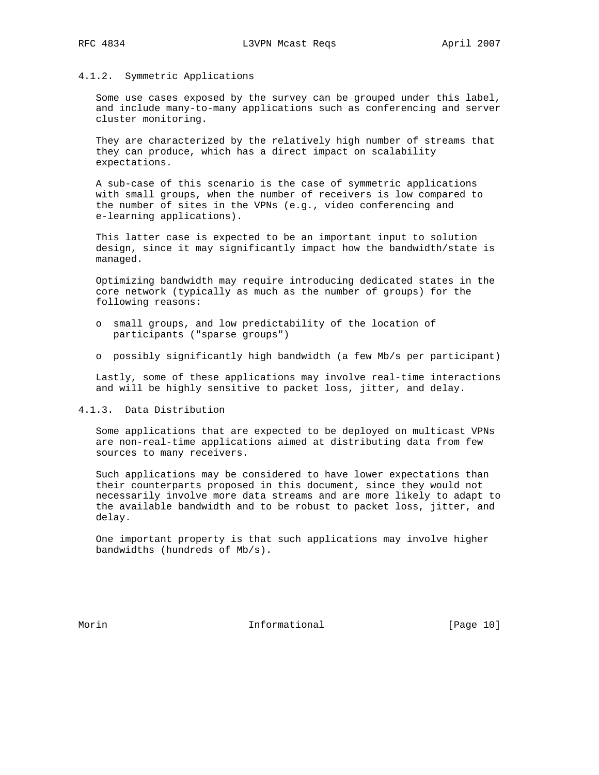### 4.1.2. Symmetric Applications

 Some use cases exposed by the survey can be grouped under this label, and include many-to-many applications such as conferencing and server cluster monitoring.

 They are characterized by the relatively high number of streams that they can produce, which has a direct impact on scalability expectations.

 A sub-case of this scenario is the case of symmetric applications with small groups, when the number of receivers is low compared to the number of sites in the VPNs (e.g., video conferencing and e-learning applications).

 This latter case is expected to be an important input to solution design, since it may significantly impact how the bandwidth/state is managed.

 Optimizing bandwidth may require introducing dedicated states in the core network (typically as much as the number of groups) for the following reasons:

- o small groups, and low predictability of the location of participants ("sparse groups")
- o possibly significantly high bandwidth (a few Mb/s per participant)

 Lastly, some of these applications may involve real-time interactions and will be highly sensitive to packet loss, jitter, and delay.

4.1.3. Data Distribution

 Some applications that are expected to be deployed on multicast VPNs are non-real-time applications aimed at distributing data from few sources to many receivers.

 Such applications may be considered to have lower expectations than their counterparts proposed in this document, since they would not necessarily involve more data streams and are more likely to adapt to the available bandwidth and to be robust to packet loss, jitter, and delay.

 One important property is that such applications may involve higher bandwidths (hundreds of Mb/s).

Morin **Informational Informational** [Page 10]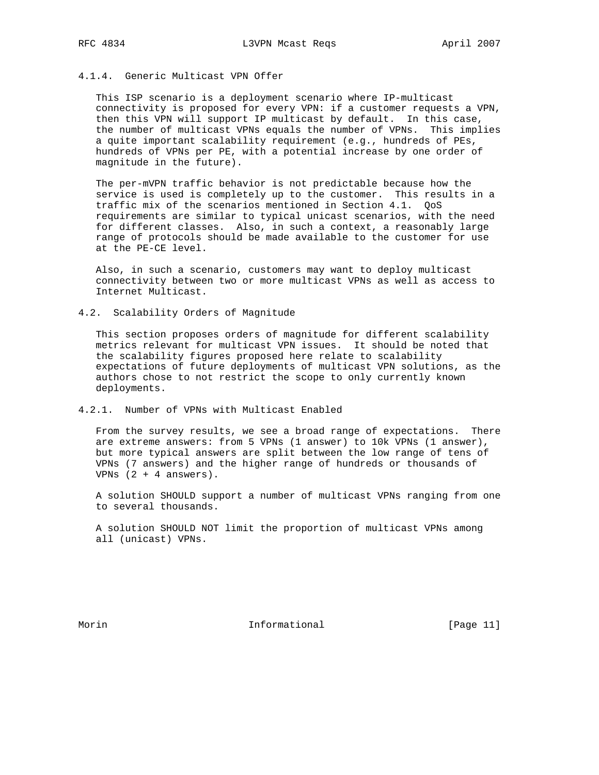# 4.1.4. Generic Multicast VPN Offer

 This ISP scenario is a deployment scenario where IP-multicast connectivity is proposed for every VPN: if a customer requests a VPN, then this VPN will support IP multicast by default. In this case, the number of multicast VPNs equals the number of VPNs. This implies a quite important scalability requirement (e.g., hundreds of PEs, hundreds of VPNs per PE, with a potential increase by one order of magnitude in the future).

 The per-mVPN traffic behavior is not predictable because how the service is used is completely up to the customer. This results in a traffic mix of the scenarios mentioned in Section 4.1. QoS requirements are similar to typical unicast scenarios, with the need for different classes. Also, in such a context, a reasonably large range of protocols should be made available to the customer for use at the PE-CE level.

 Also, in such a scenario, customers may want to deploy multicast connectivity between two or more multicast VPNs as well as access to Internet Multicast.

### 4.2. Scalability Orders of Magnitude

 This section proposes orders of magnitude for different scalability metrics relevant for multicast VPN issues. It should be noted that the scalability figures proposed here relate to scalability expectations of future deployments of multicast VPN solutions, as the authors chose to not restrict the scope to only currently known deployments.

#### 4.2.1. Number of VPNs with Multicast Enabled

 From the survey results, we see a broad range of expectations. There are extreme answers: from 5 VPNs (1 answer) to 10k VPNs (1 answer), but more typical answers are split between the low range of tens of VPNs (7 answers) and the higher range of hundreds or thousands of VPNs  $(2 + 4 \text{ answers}).$ 

 A solution SHOULD support a number of multicast VPNs ranging from one to several thousands.

 A solution SHOULD NOT limit the proportion of multicast VPNs among all (unicast) VPNs.

Morin Informational [Page 11]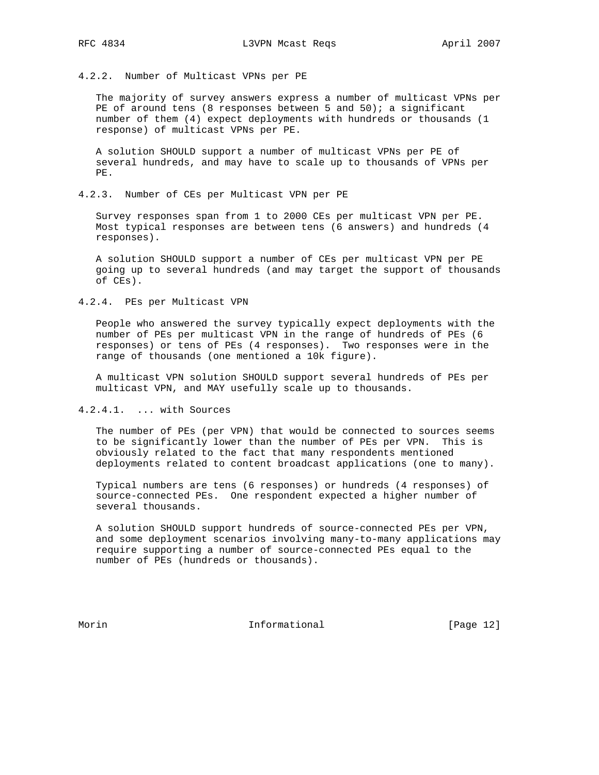4.2.2. Number of Multicast VPNs per PE

 The majority of survey answers express a number of multicast VPNs per PE of around tens (8 responses between 5 and  $50$ ); a significant number of them (4) expect deployments with hundreds or thousands (1 response) of multicast VPNs per PE.

 A solution SHOULD support a number of multicast VPNs per PE of several hundreds, and may have to scale up to thousands of VPNs per PE.

4.2.3. Number of CEs per Multicast VPN per PE

 Survey responses span from 1 to 2000 CEs per multicast VPN per PE. Most typical responses are between tens (6 answers) and hundreds (4 responses).

 A solution SHOULD support a number of CEs per multicast VPN per PE going up to several hundreds (and may target the support of thousands of CEs).

4.2.4. PEs per Multicast VPN

 People who answered the survey typically expect deployments with the number of PEs per multicast VPN in the range of hundreds of PEs (6 responses) or tens of PEs (4 responses). Two responses were in the range of thousands (one mentioned a 10k figure).

 A multicast VPN solution SHOULD support several hundreds of PEs per multicast VPN, and MAY usefully scale up to thousands.

4.2.4.1. ... with Sources

 The number of PEs (per VPN) that would be connected to sources seems to be significantly lower than the number of PEs per VPN. This is obviously related to the fact that many respondents mentioned deployments related to content broadcast applications (one to many).

 Typical numbers are tens (6 responses) or hundreds (4 responses) of source-connected PEs. One respondent expected a higher number of several thousands.

 A solution SHOULD support hundreds of source-connected PEs per VPN, and some deployment scenarios involving many-to-many applications may require supporting a number of source-connected PEs equal to the number of PEs (hundreds or thousands).

Morin **Informational Informational** [Page 12]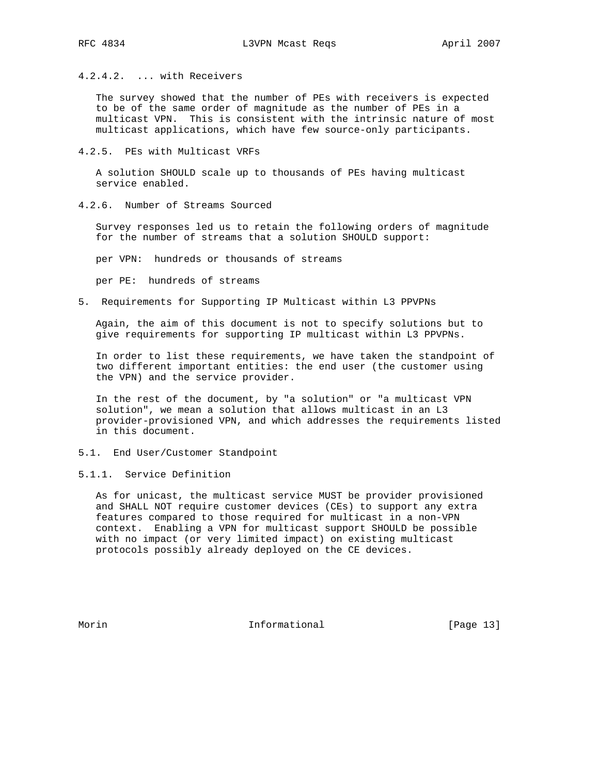4.2.4.2. ... with Receivers

 The survey showed that the number of PEs with receivers is expected to be of the same order of magnitude as the number of PEs in a multicast VPN. This is consistent with the intrinsic nature of most multicast applications, which have few source-only participants.

4.2.5. PEs with Multicast VRFs

 A solution SHOULD scale up to thousands of PEs having multicast service enabled.

4.2.6. Number of Streams Sourced

 Survey responses led us to retain the following orders of magnitude for the number of streams that a solution SHOULD support:

per VPN: hundreds or thousands of streams

per PE: hundreds of streams

5. Requirements for Supporting IP Multicast within L3 PPVPNs

 Again, the aim of this document is not to specify solutions but to give requirements for supporting IP multicast within L3 PPVPNs.

 In order to list these requirements, we have taken the standpoint of two different important entities: the end user (the customer using the VPN) and the service provider.

 In the rest of the document, by "a solution" or "a multicast VPN solution", we mean a solution that allows multicast in an L3 provider-provisioned VPN, and which addresses the requirements listed in this document.

- 5.1. End User/Customer Standpoint
- 5.1.1. Service Definition

 As for unicast, the multicast service MUST be provider provisioned and SHALL NOT require customer devices (CEs) to support any extra features compared to those required for multicast in a non-VPN context. Enabling a VPN for multicast support SHOULD be possible with no impact (or very limited impact) on existing multicast protocols possibly already deployed on the CE devices.

Morin **Informational Informational** [Page 13]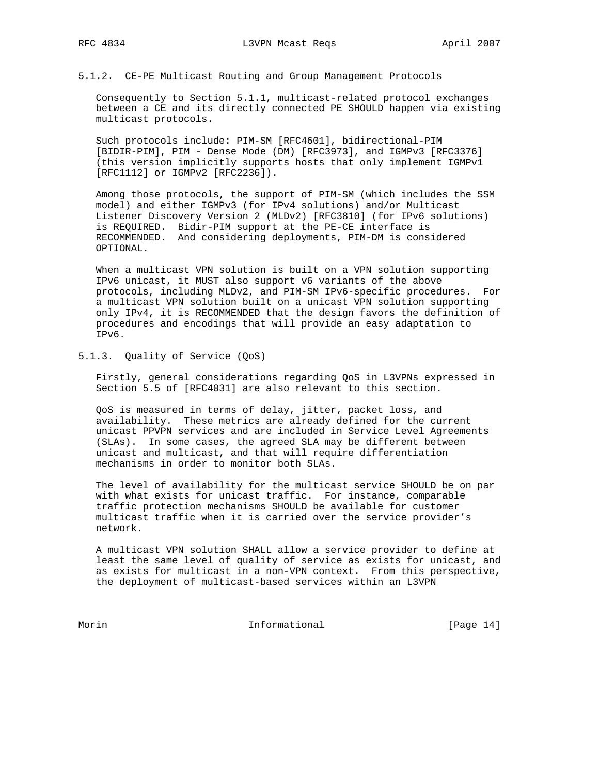5.1.2. CE-PE Multicast Routing and Group Management Protocols

 Consequently to Section 5.1.1, multicast-related protocol exchanges between a CE and its directly connected PE SHOULD happen via existing multicast protocols.

 Such protocols include: PIM-SM [RFC4601], bidirectional-PIM [BIDIR-PIM], PIM - Dense Mode (DM) [RFC3973], and IGMPv3 [RFC3376] (this version implicitly supports hosts that only implement IGMPv1 [RFC1112] or IGMPv2 [RFC2236]).

 Among those protocols, the support of PIM-SM (which includes the SSM model) and either IGMPv3 (for IPv4 solutions) and/or Multicast Listener Discovery Version 2 (MLDv2) [RFC3810] (for IPv6 solutions) is REQUIRED. Bidir-PIM support at the PE-CE interface is RECOMMENDED. And considering deployments, PIM-DM is considered OPTIONAL.

 When a multicast VPN solution is built on a VPN solution supporting IPv6 unicast, it MUST also support v6 variants of the above protocols, including MLDv2, and PIM-SM IPv6-specific procedures. For a multicast VPN solution built on a unicast VPN solution supporting only IPv4, it is RECOMMENDED that the design favors the definition of procedures and encodings that will provide an easy adaptation to IPv6.

5.1.3. Quality of Service (QoS)

 Firstly, general considerations regarding QoS in L3VPNs expressed in Section 5.5 of [RFC4031] are also relevant to this section.

 QoS is measured in terms of delay, jitter, packet loss, and availability. These metrics are already defined for the current unicast PPVPN services and are included in Service Level Agreements (SLAs). In some cases, the agreed SLA may be different between unicast and multicast, and that will require differentiation mechanisms in order to monitor both SLAs.

 The level of availability for the multicast service SHOULD be on par with what exists for unicast traffic. For instance, comparable traffic protection mechanisms SHOULD be available for customer multicast traffic when it is carried over the service provider's network.

 A multicast VPN solution SHALL allow a service provider to define at least the same level of quality of service as exists for unicast, and as exists for multicast in a non-VPN context. From this perspective, the deployment of multicast-based services within an L3VPN

Morin 10.1 Informational [Page 14]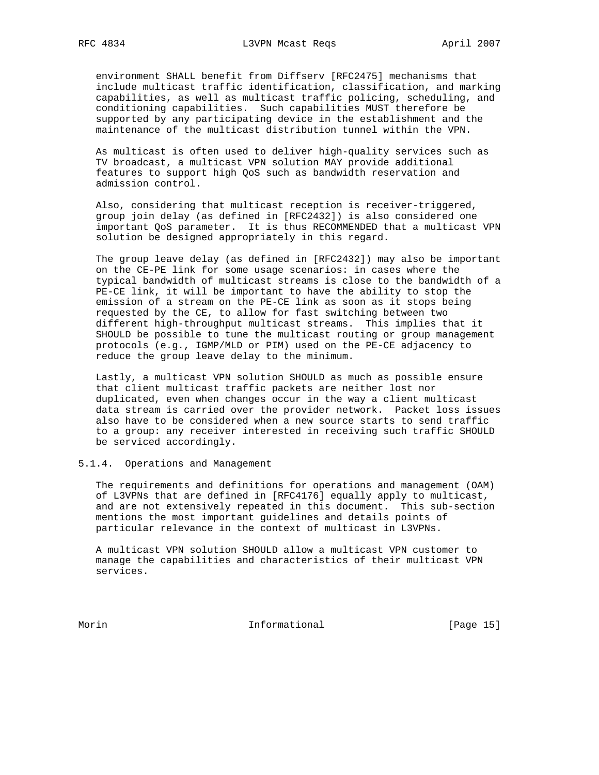environment SHALL benefit from Diffserv [RFC2475] mechanisms that include multicast traffic identification, classification, and marking capabilities, as well as multicast traffic policing, scheduling, and conditioning capabilities. Such capabilities MUST therefore be supported by any participating device in the establishment and the maintenance of the multicast distribution tunnel within the VPN.

 As multicast is often used to deliver high-quality services such as TV broadcast, a multicast VPN solution MAY provide additional features to support high QoS such as bandwidth reservation and admission control.

 Also, considering that multicast reception is receiver-triggered, group join delay (as defined in [RFC2432]) is also considered one important QoS parameter. It is thus RECOMMENDED that a multicast VPN solution be designed appropriately in this regard.

 The group leave delay (as defined in [RFC2432]) may also be important on the CE-PE link for some usage scenarios: in cases where the typical bandwidth of multicast streams is close to the bandwidth of a PE-CE link, it will be important to have the ability to stop the emission of a stream on the PE-CE link as soon as it stops being requested by the CE, to allow for fast switching between two different high-throughput multicast streams. This implies that it SHOULD be possible to tune the multicast routing or group management protocols (e.g., IGMP/MLD or PIM) used on the PE-CE adjacency to reduce the group leave delay to the minimum.

 Lastly, a multicast VPN solution SHOULD as much as possible ensure that client multicast traffic packets are neither lost nor duplicated, even when changes occur in the way a client multicast data stream is carried over the provider network. Packet loss issues also have to be considered when a new source starts to send traffic to a group: any receiver interested in receiving such traffic SHOULD be serviced accordingly.

5.1.4. Operations and Management

 The requirements and definitions for operations and management (OAM) of L3VPNs that are defined in [RFC4176] equally apply to multicast, and are not extensively repeated in this document. This sub-section mentions the most important guidelines and details points of particular relevance in the context of multicast in L3VPNs.

 A multicast VPN solution SHOULD allow a multicast VPN customer to manage the capabilities and characteristics of their multicast VPN services.

Morin Informational [Page 15]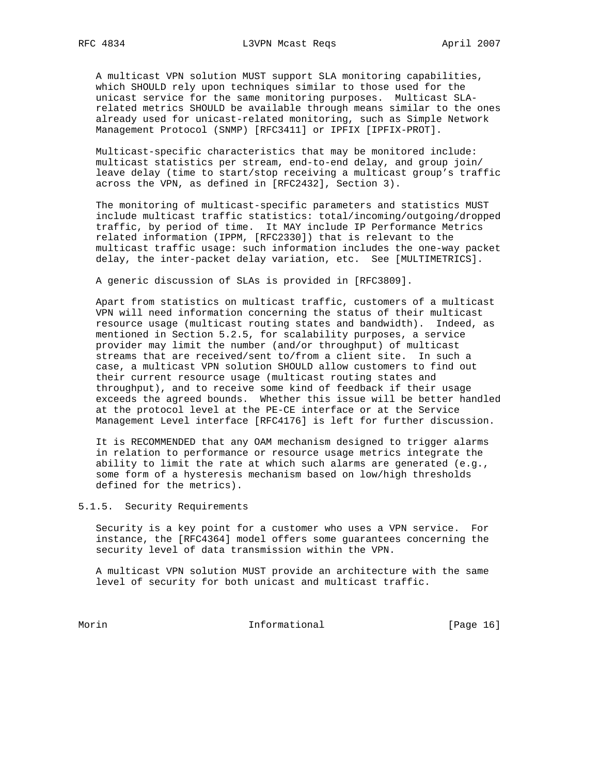A multicast VPN solution MUST support SLA monitoring capabilities, which SHOULD rely upon techniques similar to those used for the unicast service for the same monitoring purposes. Multicast SLA related metrics SHOULD be available through means similar to the ones already used for unicast-related monitoring, such as Simple Network Management Protocol (SNMP) [RFC3411] or IPFIX [IPFIX-PROT].

 Multicast-specific characteristics that may be monitored include: multicast statistics per stream, end-to-end delay, and group join/ leave delay (time to start/stop receiving a multicast group's traffic across the VPN, as defined in [RFC2432], Section 3).

 The monitoring of multicast-specific parameters and statistics MUST include multicast traffic statistics: total/incoming/outgoing/dropped traffic, by period of time. It MAY include IP Performance Metrics related information (IPPM, [RFC2330]) that is relevant to the multicast traffic usage: such information includes the one-way packet delay, the inter-packet delay variation, etc. See [MULTIMETRICS].

A generic discussion of SLAs is provided in [RFC3809].

 Apart from statistics on multicast traffic, customers of a multicast VPN will need information concerning the status of their multicast resource usage (multicast routing states and bandwidth). Indeed, as mentioned in Section 5.2.5, for scalability purposes, a service provider may limit the number (and/or throughput) of multicast streams that are received/sent to/from a client site. In such a case, a multicast VPN solution SHOULD allow customers to find out their current resource usage (multicast routing states and throughput), and to receive some kind of feedback if their usage exceeds the agreed bounds. Whether this issue will be better handled at the protocol level at the PE-CE interface or at the Service Management Level interface [RFC4176] is left for further discussion.

 It is RECOMMENDED that any OAM mechanism designed to trigger alarms in relation to performance or resource usage metrics integrate the ability to limit the rate at which such alarms are generated (e.g., some form of a hysteresis mechanism based on low/high thresholds defined for the metrics).

5.1.5. Security Requirements

 Security is a key point for a customer who uses a VPN service. For instance, the [RFC4364] model offers some guarantees concerning the security level of data transmission within the VPN.

 A multicast VPN solution MUST provide an architecture with the same level of security for both unicast and multicast traffic.

Morin 10.1 Informational [Page 16]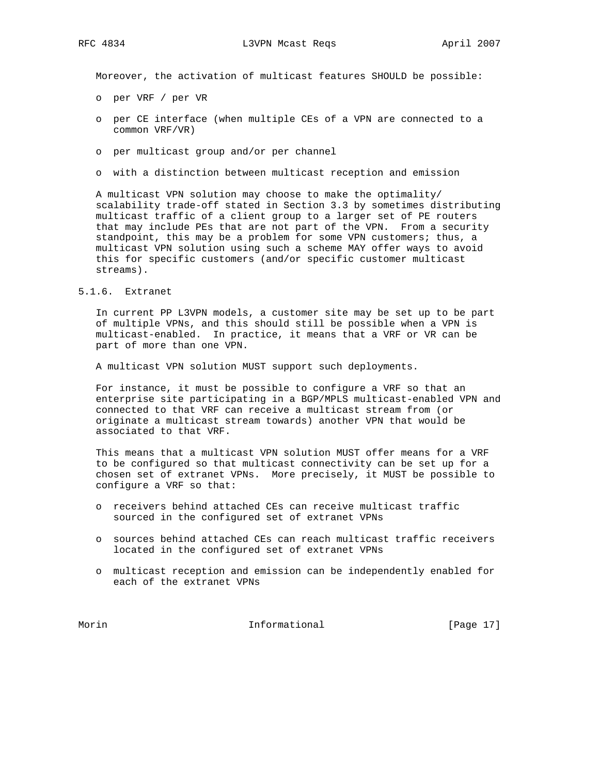Moreover, the activation of multicast features SHOULD be possible:

- o per VRF / per VR
- o per CE interface (when multiple CEs of a VPN are connected to a common VRF/VR)
- o per multicast group and/or per channel
- o with a distinction between multicast reception and emission

 A multicast VPN solution may choose to make the optimality/ scalability trade-off stated in Section 3.3 by sometimes distributing multicast traffic of a client group to a larger set of PE routers that may include PEs that are not part of the VPN. From a security standpoint, this may be a problem for some VPN customers; thus, a multicast VPN solution using such a scheme MAY offer ways to avoid this for specific customers (and/or specific customer multicast streams).

## 5.1.6. Extranet

 In current PP L3VPN models, a customer site may be set up to be part of multiple VPNs, and this should still be possible when a VPN is multicast-enabled. In practice, it means that a VRF or VR can be part of more than one VPN.

A multicast VPN solution MUST support such deployments.

 For instance, it must be possible to configure a VRF so that an enterprise site participating in a BGP/MPLS multicast-enabled VPN and connected to that VRF can receive a multicast stream from (or originate a multicast stream towards) another VPN that would be associated to that VRF.

 This means that a multicast VPN solution MUST offer means for a VRF to be configured so that multicast connectivity can be set up for a chosen set of extranet VPNs. More precisely, it MUST be possible to configure a VRF so that:

- o receivers behind attached CEs can receive multicast traffic sourced in the configured set of extranet VPNs
- o sources behind attached CEs can reach multicast traffic receivers located in the configured set of extranet VPNs
- o multicast reception and emission can be independently enabled for each of the extranet VPNs

Morin **Informational Informational** [Page 17]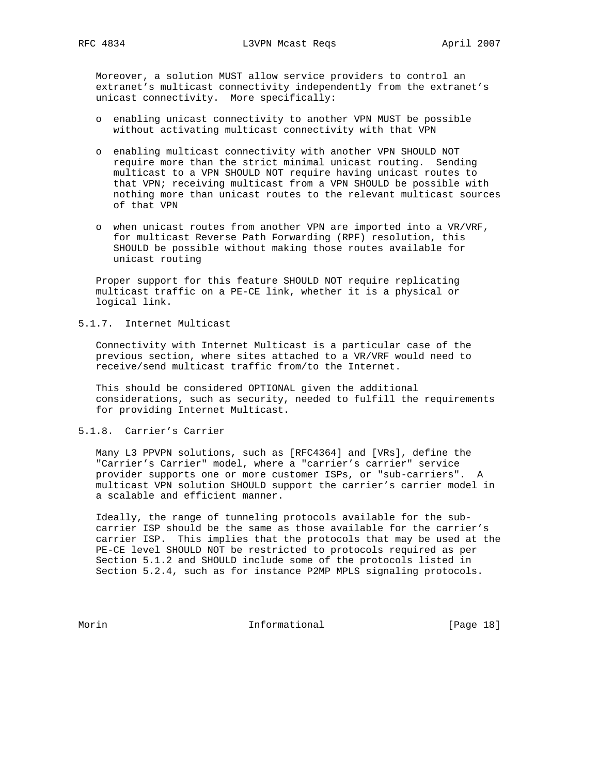Moreover, a solution MUST allow service providers to control an extranet's multicast connectivity independently from the extranet's unicast connectivity. More specifically:

- o enabling unicast connectivity to another VPN MUST be possible without activating multicast connectivity with that VPN
- o enabling multicast connectivity with another VPN SHOULD NOT require more than the strict minimal unicast routing. Sending multicast to a VPN SHOULD NOT require having unicast routes to that VPN; receiving multicast from a VPN SHOULD be possible with nothing more than unicast routes to the relevant multicast sources of that VPN
- o when unicast routes from another VPN are imported into a VR/VRF, for multicast Reverse Path Forwarding (RPF) resolution, this SHOULD be possible without making those routes available for unicast routing

 Proper support for this feature SHOULD NOT require replicating multicast traffic on a PE-CE link, whether it is a physical or logical link.

# 5.1.7. Internet Multicast

 Connectivity with Internet Multicast is a particular case of the previous section, where sites attached to a VR/VRF would need to receive/send multicast traffic from/to the Internet.

 This should be considered OPTIONAL given the additional considerations, such as security, needed to fulfill the requirements for providing Internet Multicast.

## 5.1.8. Carrier's Carrier

 Many L3 PPVPN solutions, such as [RFC4364] and [VRs], define the "Carrier's Carrier" model, where a "carrier's carrier" service provider supports one or more customer ISPs, or "sub-carriers". A multicast VPN solution SHOULD support the carrier's carrier model in a scalable and efficient manner.

 Ideally, the range of tunneling protocols available for the sub carrier ISP should be the same as those available for the carrier's carrier ISP. This implies that the protocols that may be used at the PE-CE level SHOULD NOT be restricted to protocols required as per Section 5.1.2 and SHOULD include some of the protocols listed in Section 5.2.4, such as for instance P2MP MPLS signaling protocols.

Morin 10.1 Informational [Page 18]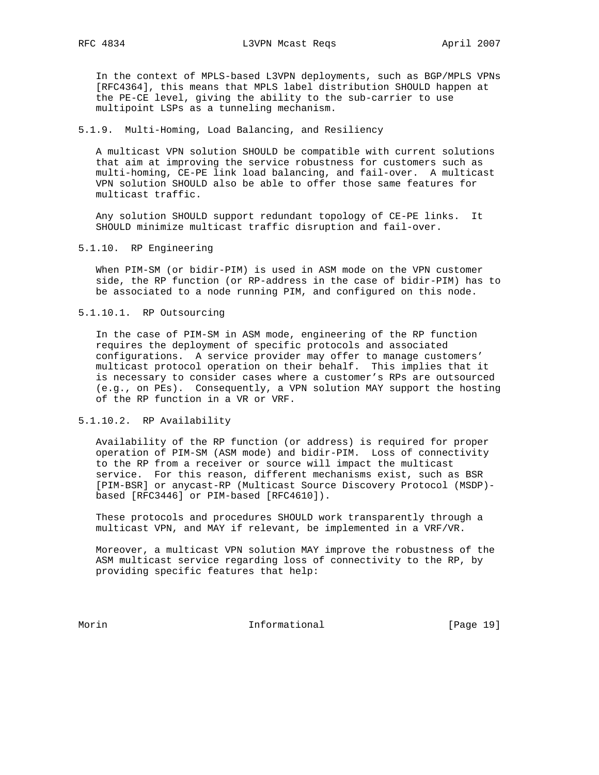In the context of MPLS-based L3VPN deployments, such as BGP/MPLS VPNs [RFC4364], this means that MPLS label distribution SHOULD happen at the PE-CE level, giving the ability to the sub-carrier to use multipoint LSPs as a tunneling mechanism.

#### 5.1.9. Multi-Homing, Load Balancing, and Resiliency

 A multicast VPN solution SHOULD be compatible with current solutions that aim at improving the service robustness for customers such as multi-homing, CE-PE link load balancing, and fail-over. A multicast VPN solution SHOULD also be able to offer those same features for multicast traffic.

 Any solution SHOULD support redundant topology of CE-PE links. It SHOULD minimize multicast traffic disruption and fail-over.

#### 5.1.10. RP Engineering

 When PIM-SM (or bidir-PIM) is used in ASM mode on the VPN customer side, the RP function (or RP-address in the case of bidir-PIM) has to be associated to a node running PIM, and configured on this node.

## 5.1.10.1. RP Outsourcing

 In the case of PIM-SM in ASM mode, engineering of the RP function requires the deployment of specific protocols and associated configurations. A service provider may offer to manage customers' multicast protocol operation on their behalf. This implies that it is necessary to consider cases where a customer's RPs are outsourced (e.g., on PEs). Consequently, a VPN solution MAY support the hosting of the RP function in a VR or VRF.

## 5.1.10.2. RP Availability

 Availability of the RP function (or address) is required for proper operation of PIM-SM (ASM mode) and bidir-PIM. Loss of connectivity to the RP from a receiver or source will impact the multicast service. For this reason, different mechanisms exist, such as BSR [PIM-BSR] or anycast-RP (Multicast Source Discovery Protocol (MSDP) based [RFC3446] or PIM-based [RFC4610]).

 These protocols and procedures SHOULD work transparently through a multicast VPN, and MAY if relevant, be implemented in a VRF/VR.

 Moreover, a multicast VPN solution MAY improve the robustness of the ASM multicast service regarding loss of connectivity to the RP, by providing specific features that help:

Morin 1000 Informational 1000 Informational [Page 19]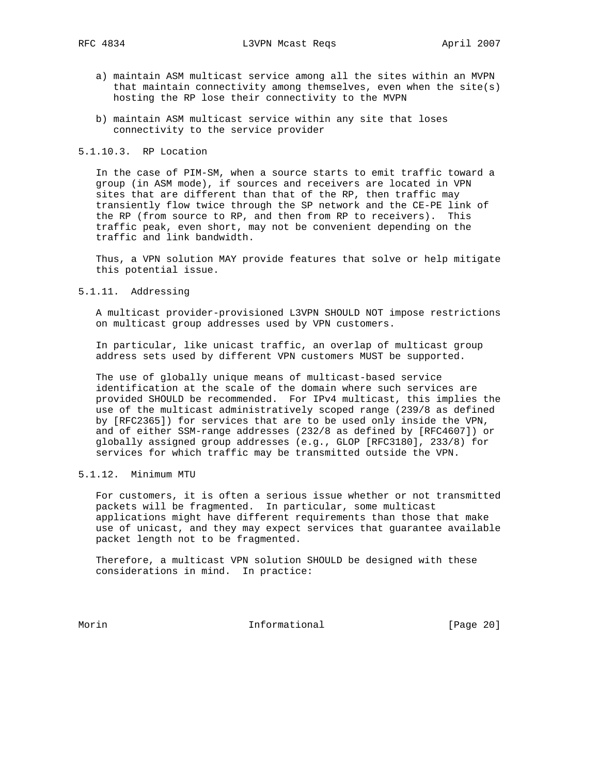- a) maintain ASM multicast service among all the sites within an MVPN that maintain connectivity among themselves, even when the  $site(s)$ hosting the RP lose their connectivity to the MVPN
- b) maintain ASM multicast service within any site that loses connectivity to the service provider

## 5.1.10.3. RP Location

 In the case of PIM-SM, when a source starts to emit traffic toward a group (in ASM mode), if sources and receivers are located in VPN sites that are different than that of the RP, then traffic may transiently flow twice through the SP network and the CE-PE link of the RP (from source to RP, and then from RP to receivers). This traffic peak, even short, may not be convenient depending on the traffic and link bandwidth.

 Thus, a VPN solution MAY provide features that solve or help mitigate this potential issue.

5.1.11. Addressing

 A multicast provider-provisioned L3VPN SHOULD NOT impose restrictions on multicast group addresses used by VPN customers.

 In particular, like unicast traffic, an overlap of multicast group address sets used by different VPN customers MUST be supported.

 The use of globally unique means of multicast-based service identification at the scale of the domain where such services are provided SHOULD be recommended. For IPv4 multicast, this implies the use of the multicast administratively scoped range (239/8 as defined by [RFC2365]) for services that are to be used only inside the VPN, and of either SSM-range addresses (232/8 as defined by [RFC4607]) or globally assigned group addresses (e.g., GLOP [RFC3180], 233/8) for services for which traffic may be transmitted outside the VPN.

## 5.1.12. Minimum MTU

 For customers, it is often a serious issue whether or not transmitted packets will be fragmented. In particular, some multicast applications might have different requirements than those that make use of unicast, and they may expect services that guarantee available packet length not to be fragmented.

 Therefore, a multicast VPN solution SHOULD be designed with these considerations in mind. In practice:

Morin 10.1 Informational 1000 [Page 20]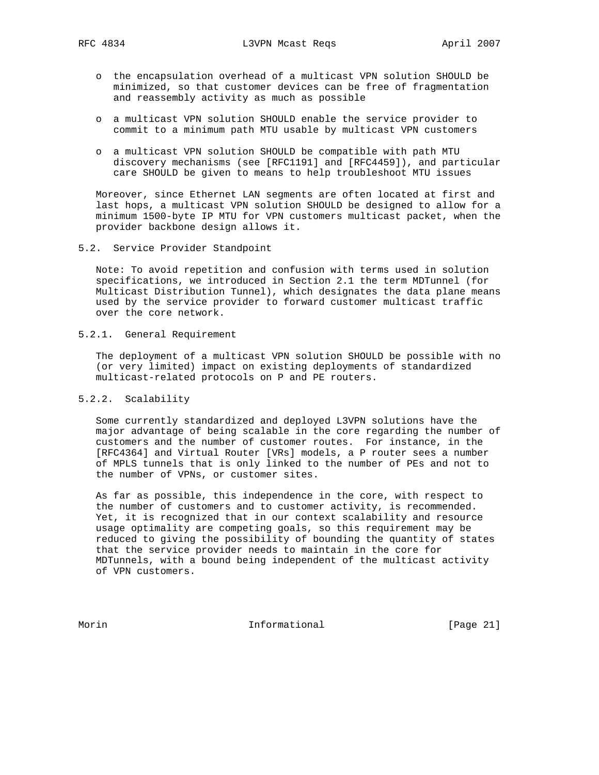- o the encapsulation overhead of a multicast VPN solution SHOULD be minimized, so that customer devices can be free of fragmentation and reassembly activity as much as possible
- o a multicast VPN solution SHOULD enable the service provider to commit to a minimum path MTU usable by multicast VPN customers
- o a multicast VPN solution SHOULD be compatible with path MTU discovery mechanisms (see [RFC1191] and [RFC4459]), and particular care SHOULD be given to means to help troubleshoot MTU issues

 Moreover, since Ethernet LAN segments are often located at first and last hops, a multicast VPN solution SHOULD be designed to allow for a minimum 1500-byte IP MTU for VPN customers multicast packet, when the provider backbone design allows it.

5.2. Service Provider Standpoint

 Note: To avoid repetition and confusion with terms used in solution specifications, we introduced in Section 2.1 the term MDTunnel (for Multicast Distribution Tunnel), which designates the data plane means used by the service provider to forward customer multicast traffic over the core network.

5.2.1. General Requirement

 The deployment of a multicast VPN solution SHOULD be possible with no (or very limited) impact on existing deployments of standardized multicast-related protocols on P and PE routers.

5.2.2. Scalability

 Some currently standardized and deployed L3VPN solutions have the major advantage of being scalable in the core regarding the number of customers and the number of customer routes. For instance, in the [RFC4364] and Virtual Router [VRs] models, a P router sees a number of MPLS tunnels that is only linked to the number of PEs and not to the number of VPNs, or customer sites.

 As far as possible, this independence in the core, with respect to the number of customers and to customer activity, is recommended. Yet, it is recognized that in our context scalability and resource usage optimality are competing goals, so this requirement may be reduced to giving the possibility of bounding the quantity of states that the service provider needs to maintain in the core for MDTunnels, with a bound being independent of the multicast activity of VPN customers.

Morin 10.1 Informational 1000 [Page 21]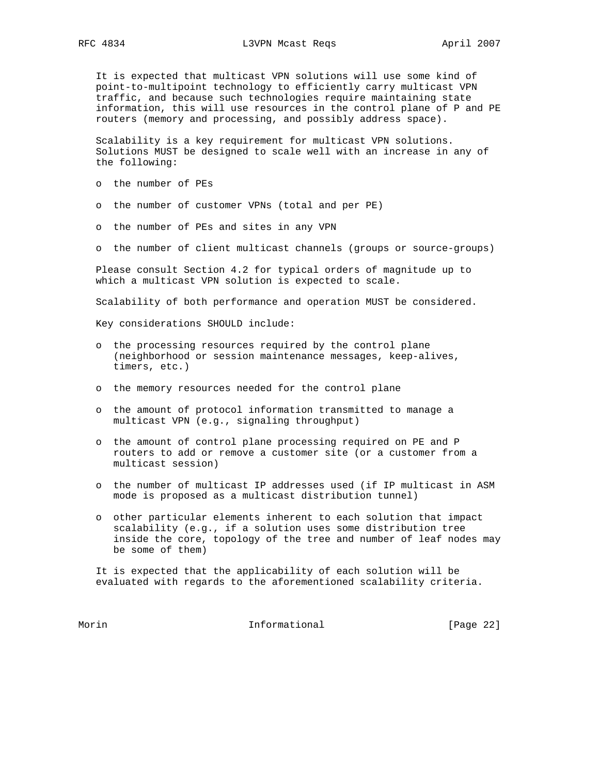It is expected that multicast VPN solutions will use some kind of point-to-multipoint technology to efficiently carry multicast VPN traffic, and because such technologies require maintaining state information, this will use resources in the control plane of P and PE routers (memory and processing, and possibly address space).

 Scalability is a key requirement for multicast VPN solutions. Solutions MUST be designed to scale well with an increase in any of the following:

- o the number of PEs
- o the number of customer VPNs (total and per PE)
- o the number of PEs and sites in any VPN
- o the number of client multicast channels (groups or source-groups)

 Please consult Section 4.2 for typical orders of magnitude up to which a multicast VPN solution is expected to scale.

Scalability of both performance and operation MUST be considered.

Key considerations SHOULD include:

- o the processing resources required by the control plane (neighborhood or session maintenance messages, keep-alives, timers, etc.)
- o the memory resources needed for the control plane
- o the amount of protocol information transmitted to manage a multicast VPN (e.g., signaling throughput)
- o the amount of control plane processing required on PE and P routers to add or remove a customer site (or a customer from a multicast session)
- o the number of multicast IP addresses used (if IP multicast in ASM mode is proposed as a multicast distribution tunnel)
- o other particular elements inherent to each solution that impact scalability (e.g., if a solution uses some distribution tree inside the core, topology of the tree and number of leaf nodes may be some of them)

 It is expected that the applicability of each solution will be evaluated with regards to the aforementioned scalability criteria.

Morin 10.1 Informational 1000 [Page 22]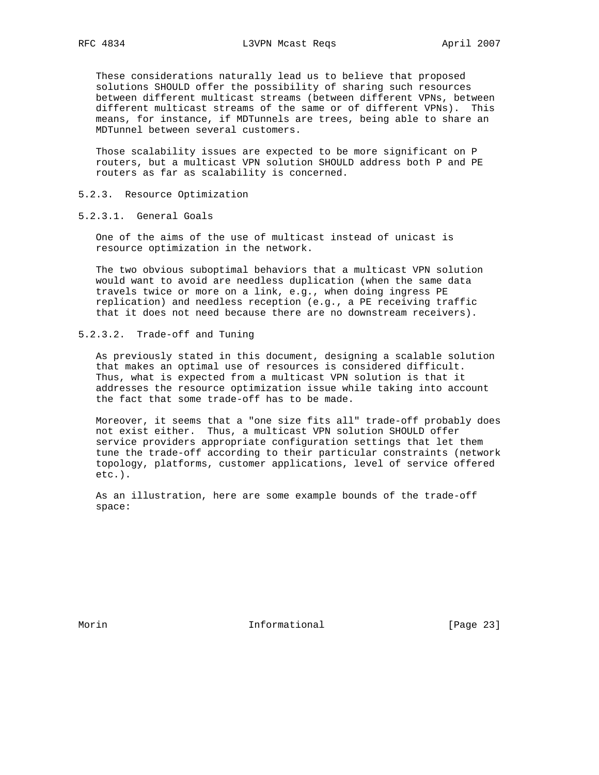These considerations naturally lead us to believe that proposed solutions SHOULD offer the possibility of sharing such resources between different multicast streams (between different VPNs, between different multicast streams of the same or of different VPNs). This means, for instance, if MDTunnels are trees, being able to share an MDTunnel between several customers.

 Those scalability issues are expected to be more significant on P routers, but a multicast VPN solution SHOULD address both P and PE routers as far as scalability is concerned.

### 5.2.3. Resource Optimization

5.2.3.1. General Goals

 One of the aims of the use of multicast instead of unicast is resource optimization in the network.

 The two obvious suboptimal behaviors that a multicast VPN solution would want to avoid are needless duplication (when the same data travels twice or more on a link, e.g., when doing ingress PE replication) and needless reception (e.g., a PE receiving traffic that it does not need because there are no downstream receivers).

5.2.3.2. Trade-off and Tuning

 As previously stated in this document, designing a scalable solution that makes an optimal use of resources is considered difficult. Thus, what is expected from a multicast VPN solution is that it addresses the resource optimization issue while taking into account the fact that some trade-off has to be made.

 Moreover, it seems that a "one size fits all" trade-off probably does not exist either. Thus, a multicast VPN solution SHOULD offer service providers appropriate configuration settings that let them tune the trade-off according to their particular constraints (network topology, platforms, customer applications, level of service offered etc.).

 As an illustration, here are some example bounds of the trade-off space:

Morin **Informational Informational** [Page 23]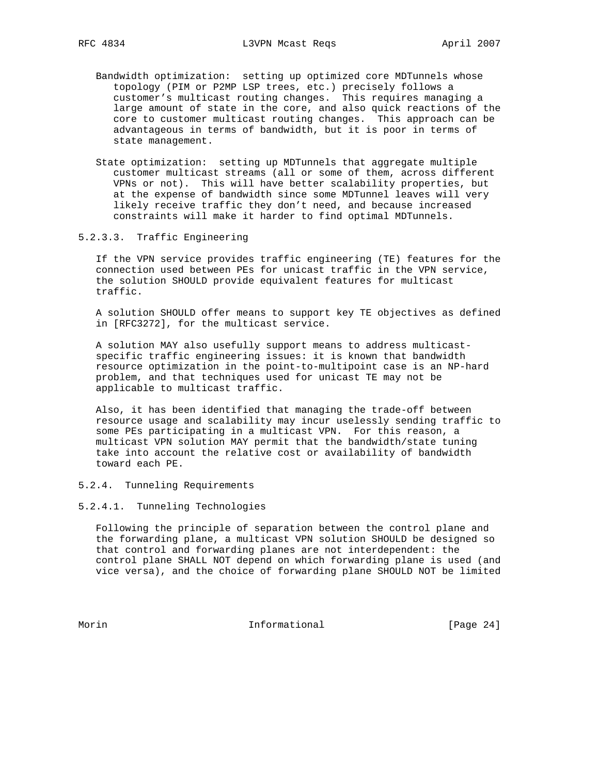- Bandwidth optimization: setting up optimized core MDTunnels whose topology (PIM or P2MP LSP trees, etc.) precisely follows a customer's multicast routing changes. This requires managing a large amount of state in the core, and also quick reactions of the core to customer multicast routing changes. This approach can be advantageous in terms of bandwidth, but it is poor in terms of state management.
	- State optimization: setting up MDTunnels that aggregate multiple customer multicast streams (all or some of them, across different VPNs or not). This will have better scalability properties, but at the expense of bandwidth since some MDTunnel leaves will very likely receive traffic they don't need, and because increased constraints will make it harder to find optimal MDTunnels.
- 5.2.3.3. Traffic Engineering

 If the VPN service provides traffic engineering (TE) features for the connection used between PEs for unicast traffic in the VPN service, the solution SHOULD provide equivalent features for multicast traffic.

 A solution SHOULD offer means to support key TE objectives as defined in [RFC3272], for the multicast service.

 A solution MAY also usefully support means to address multicast specific traffic engineering issues: it is known that bandwidth resource optimization in the point-to-multipoint case is an NP-hard problem, and that techniques used for unicast TE may not be applicable to multicast traffic.

 Also, it has been identified that managing the trade-off between resource usage and scalability may incur uselessly sending traffic to some PEs participating in a multicast VPN. For this reason, a multicast VPN solution MAY permit that the bandwidth/state tuning take into account the relative cost or availability of bandwidth toward each PE.

# 5.2.4. Tunneling Requirements

## 5.2.4.1. Tunneling Technologies

 Following the principle of separation between the control plane and the forwarding plane, a multicast VPN solution SHOULD be designed so that control and forwarding planes are not interdependent: the control plane SHALL NOT depend on which forwarding plane is used (and vice versa), and the choice of forwarding plane SHOULD NOT be limited

Morin 10.1 Informational 1000 [Page 24]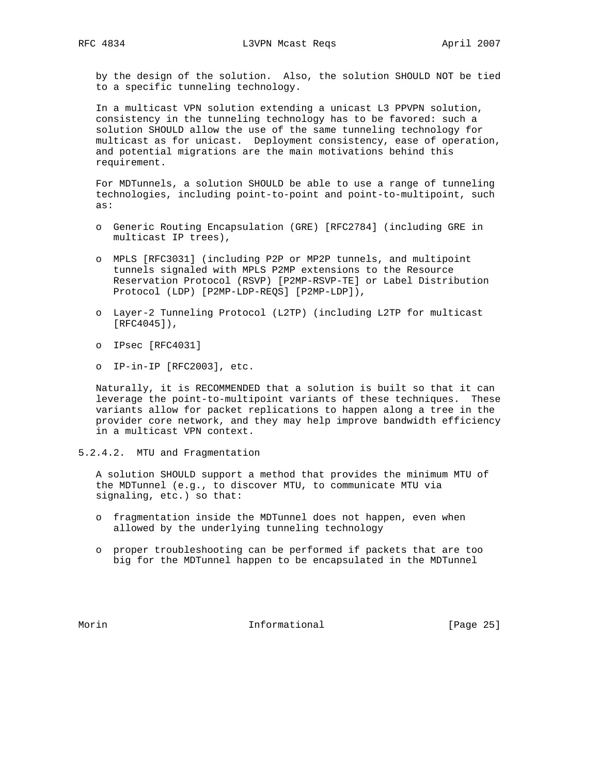by the design of the solution. Also, the solution SHOULD NOT be tied to a specific tunneling technology.

 In a multicast VPN solution extending a unicast L3 PPVPN solution, consistency in the tunneling technology has to be favored: such a solution SHOULD allow the use of the same tunneling technology for multicast as for unicast. Deployment consistency, ease of operation, and potential migrations are the main motivations behind this requirement.

 For MDTunnels, a solution SHOULD be able to use a range of tunneling technologies, including point-to-point and point-to-multipoint, such as:

- o Generic Routing Encapsulation (GRE) [RFC2784] (including GRE in multicast IP trees),
- o MPLS [RFC3031] (including P2P or MP2P tunnels, and multipoint tunnels signaled with MPLS P2MP extensions to the Resource Reservation Protocol (RSVP) [P2MP-RSVP-TE] or Label Distribution Protocol (LDP) [P2MP-LDP-REQS] [P2MP-LDP]),
- o Layer-2 Tunneling Protocol (L2TP) (including L2TP for multicast [RFC4045]),
- o IPsec [RFC4031]
- o IP-in-IP [RFC2003], etc.

 Naturally, it is RECOMMENDED that a solution is built so that it can leverage the point-to-multipoint variants of these techniques. These variants allow for packet replications to happen along a tree in the provider core network, and they may help improve bandwidth efficiency in a multicast VPN context.

5.2.4.2. MTU and Fragmentation

 A solution SHOULD support a method that provides the minimum MTU of the MDTunnel (e.g., to discover MTU, to communicate MTU via signaling, etc.) so that:

- o fragmentation inside the MDTunnel does not happen, even when allowed by the underlying tunneling technology
- o proper troubleshooting can be performed if packets that are too big for the MDTunnel happen to be encapsulated in the MDTunnel

Morin **Informational Informational** [Page 25]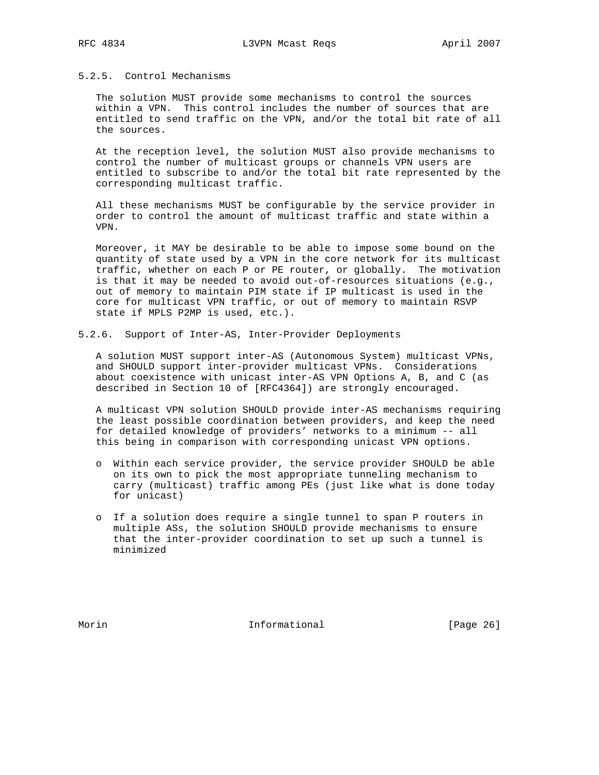## 5.2.5. Control Mechanisms

 The solution MUST provide some mechanisms to control the sources within a VPN. This control includes the number of sources that are entitled to send traffic on the VPN, and/or the total bit rate of all the sources.

 At the reception level, the solution MUST also provide mechanisms to control the number of multicast groups or channels VPN users are entitled to subscribe to and/or the total bit rate represented by the corresponding multicast traffic.

 All these mechanisms MUST be configurable by the service provider in order to control the amount of multicast traffic and state within a VPN.

 Moreover, it MAY be desirable to be able to impose some bound on the quantity of state used by a VPN in the core network for its multicast traffic, whether on each P or PE router, or globally. The motivation is that it may be needed to avoid out-of-resources situations (e.g., out of memory to maintain PIM state if IP multicast is used in the core for multicast VPN traffic, or out of memory to maintain RSVP state if MPLS P2MP is used, etc.).

5.2.6. Support of Inter-AS, Inter-Provider Deployments

 A solution MUST support inter-AS (Autonomous System) multicast VPNs, and SHOULD support inter-provider multicast VPNs. Considerations about coexistence with unicast inter-AS VPN Options A, B, and C (as described in Section 10 of [RFC4364]) are strongly encouraged.

 A multicast VPN solution SHOULD provide inter-AS mechanisms requiring the least possible coordination between providers, and keep the need for detailed knowledge of providers' networks to a minimum -- all this being in comparison with corresponding unicast VPN options.

- o Within each service provider, the service provider SHOULD be able on its own to pick the most appropriate tunneling mechanism to carry (multicast) traffic among PEs (just like what is done today for unicast)
- o If a solution does require a single tunnel to span P routers in multiple ASs, the solution SHOULD provide mechanisms to ensure that the inter-provider coordination to set up such a tunnel is minimized

Morin **Informational Informational** [Page 26]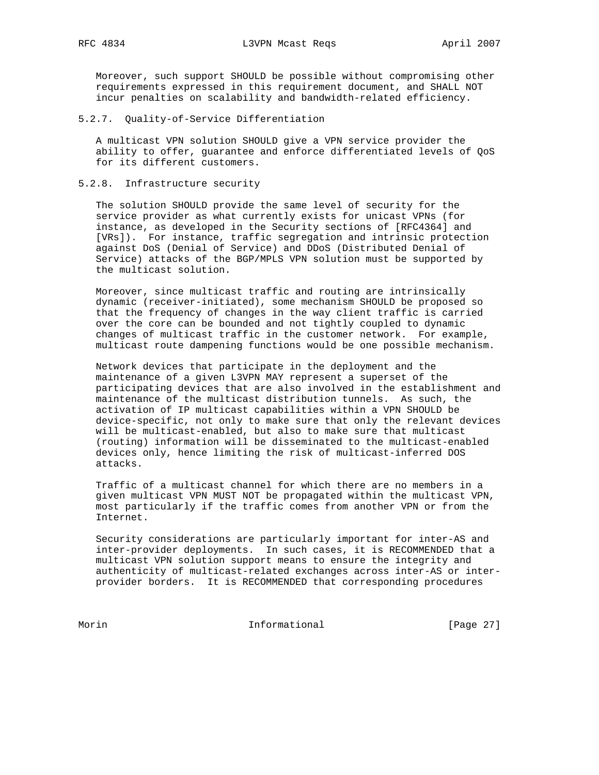Moreover, such support SHOULD be possible without compromising other requirements expressed in this requirement document, and SHALL NOT incur penalties on scalability and bandwidth-related efficiency.

5.2.7. Quality-of-Service Differentiation

 A multicast VPN solution SHOULD give a VPN service provider the ability to offer, guarantee and enforce differentiated levels of QoS for its different customers.

### 5.2.8. Infrastructure security

 The solution SHOULD provide the same level of security for the service provider as what currently exists for unicast VPNs (for instance, as developed in the Security sections of [RFC4364] and [VRs]). For instance, traffic segregation and intrinsic protection against DoS (Denial of Service) and DDoS (Distributed Denial of Service) attacks of the BGP/MPLS VPN solution must be supported by the multicast solution.

 Moreover, since multicast traffic and routing are intrinsically dynamic (receiver-initiated), some mechanism SHOULD be proposed so that the frequency of changes in the way client traffic is carried over the core can be bounded and not tightly coupled to dynamic changes of multicast traffic in the customer network. For example, multicast route dampening functions would be one possible mechanism.

 Network devices that participate in the deployment and the maintenance of a given L3VPN MAY represent a superset of the participating devices that are also involved in the establishment and maintenance of the multicast distribution tunnels. As such, the activation of IP multicast capabilities within a VPN SHOULD be device-specific, not only to make sure that only the relevant devices will be multicast-enabled, but also to make sure that multicast (routing) information will be disseminated to the multicast-enabled devices only, hence limiting the risk of multicast-inferred DOS attacks.

 Traffic of a multicast channel for which there are no members in a given multicast VPN MUST NOT be propagated within the multicast VPN, most particularly if the traffic comes from another VPN or from the Internet.

 Security considerations are particularly important for inter-AS and inter-provider deployments. In such cases, it is RECOMMENDED that a multicast VPN solution support means to ensure the integrity and authenticity of multicast-related exchanges across inter-AS or inter provider borders. It is RECOMMENDED that corresponding procedures

Morin 10.1 Informational 1000 [Page 27]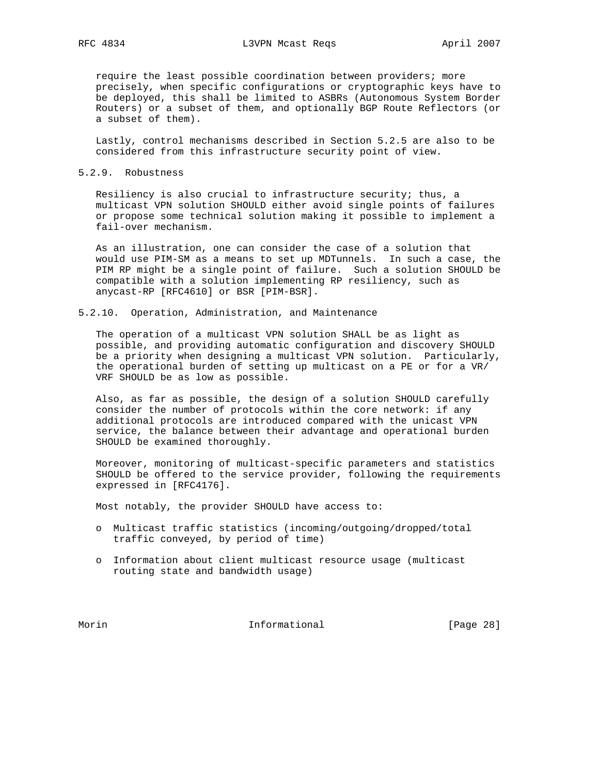require the least possible coordination between providers; more precisely, when specific configurations or cryptographic keys have to be deployed, this shall be limited to ASBRs (Autonomous System Border Routers) or a subset of them, and optionally BGP Route Reflectors (or a subset of them).

 Lastly, control mechanisms described in Section 5.2.5 are also to be considered from this infrastructure security point of view.

5.2.9. Robustness

 Resiliency is also crucial to infrastructure security; thus, a multicast VPN solution SHOULD either avoid single points of failures or propose some technical solution making it possible to implement a fail-over mechanism.

 As an illustration, one can consider the case of a solution that would use PIM-SM as a means to set up MDTunnels. In such a case, the PIM RP might be a single point of failure. Such a solution SHOULD be compatible with a solution implementing RP resiliency, such as anycast-RP [RFC4610] or BSR [PIM-BSR].

5.2.10. Operation, Administration, and Maintenance

 The operation of a multicast VPN solution SHALL be as light as possible, and providing automatic configuration and discovery SHOULD be a priority when designing a multicast VPN solution. Particularly, the operational burden of setting up multicast on a PE or for a VR/ VRF SHOULD be as low as possible.

 Also, as far as possible, the design of a solution SHOULD carefully consider the number of protocols within the core network: if any additional protocols are introduced compared with the unicast VPN service, the balance between their advantage and operational burden SHOULD be examined thoroughly.

 Moreover, monitoring of multicast-specific parameters and statistics SHOULD be offered to the service provider, following the requirements expressed in [RFC4176].

Most notably, the provider SHOULD have access to:

- o Multicast traffic statistics (incoming/outgoing/dropped/total traffic conveyed, by period of time)
- o Information about client multicast resource usage (multicast routing state and bandwidth usage)

Morin 10.1 Informational 1000 [Page 28]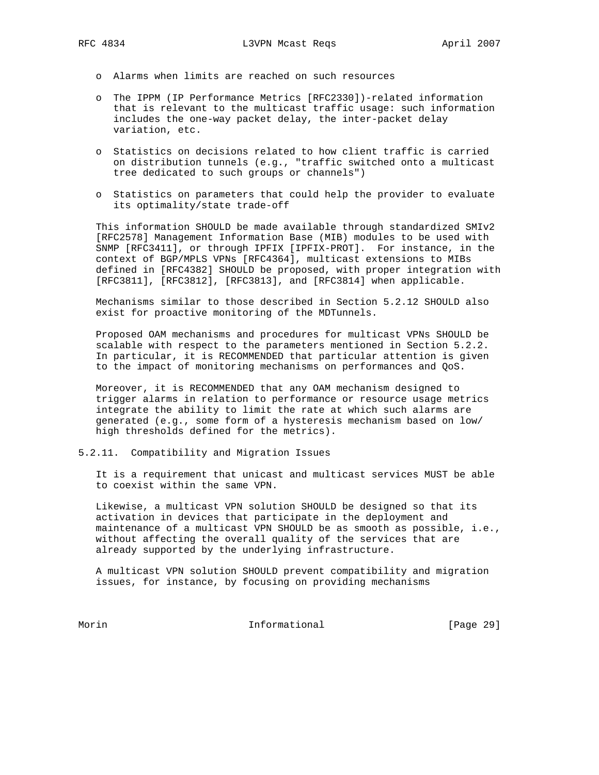- o Alarms when limits are reached on such resources
- o The IPPM (IP Performance Metrics [RFC2330])-related information that is relevant to the multicast traffic usage: such information includes the one-way packet delay, the inter-packet delay variation, etc.
- o Statistics on decisions related to how client traffic is carried on distribution tunnels (e.g., "traffic switched onto a multicast tree dedicated to such groups or channels")
- o Statistics on parameters that could help the provider to evaluate its optimality/state trade-off

 This information SHOULD be made available through standardized SMIv2 [RFC2578] Management Information Base (MIB) modules to be used with SNMP [RFC3411], or through IPFIX [IPFIX-PROT]. For instance, in the context of BGP/MPLS VPNs [RFC4364], multicast extensions to MIBs defined in [RFC4382] SHOULD be proposed, with proper integration with [RFC3811], [RFC3812], [RFC3813], and [RFC3814] when applicable.

 Mechanisms similar to those described in Section 5.2.12 SHOULD also exist for proactive monitoring of the MDTunnels.

 Proposed OAM mechanisms and procedures for multicast VPNs SHOULD be scalable with respect to the parameters mentioned in Section 5.2.2. In particular, it is RECOMMENDED that particular attention is given to the impact of monitoring mechanisms on performances and QoS.

 Moreover, it is RECOMMENDED that any OAM mechanism designed to trigger alarms in relation to performance or resource usage metrics integrate the ability to limit the rate at which such alarms are generated (e.g., some form of a hysteresis mechanism based on low/ high thresholds defined for the metrics).

5.2.11. Compatibility and Migration Issues

 It is a requirement that unicast and multicast services MUST be able to coexist within the same VPN.

 Likewise, a multicast VPN solution SHOULD be designed so that its activation in devices that participate in the deployment and maintenance of a multicast VPN SHOULD be as smooth as possible, i.e., without affecting the overall quality of the services that are already supported by the underlying infrastructure.

 A multicast VPN solution SHOULD prevent compatibility and migration issues, for instance, by focusing on providing mechanisms

Morin 10.1 Informational 10.1 [Page 29]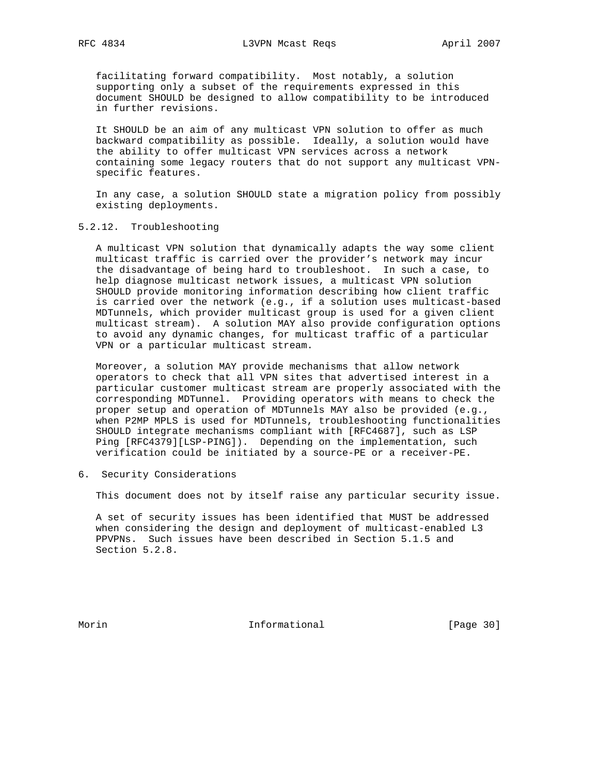facilitating forward compatibility. Most notably, a solution supporting only a subset of the requirements expressed in this document SHOULD be designed to allow compatibility to be introduced in further revisions.

 It SHOULD be an aim of any multicast VPN solution to offer as much backward compatibility as possible. Ideally, a solution would have the ability to offer multicast VPN services across a network containing some legacy routers that do not support any multicast VPN specific features.

 In any case, a solution SHOULD state a migration policy from possibly existing deployments.

5.2.12. Troubleshooting

 A multicast VPN solution that dynamically adapts the way some client multicast traffic is carried over the provider's network may incur the disadvantage of being hard to troubleshoot. In such a case, to help diagnose multicast network issues, a multicast VPN solution SHOULD provide monitoring information describing how client traffic is carried over the network (e.g., if a solution uses multicast-based MDTunnels, which provider multicast group is used for a given client multicast stream). A solution MAY also provide configuration options to avoid any dynamic changes, for multicast traffic of a particular VPN or a particular multicast stream.

 Moreover, a solution MAY provide mechanisms that allow network operators to check that all VPN sites that advertised interest in a particular customer multicast stream are properly associated with the corresponding MDTunnel. Providing operators with means to check the proper setup and operation of MDTunnels MAY also be provided (e.g., when P2MP MPLS is used for MDTunnels, troubleshooting functionalities SHOULD integrate mechanisms compliant with [RFC4687], such as LSP Ping [RFC4379][LSP-PING]). Depending on the implementation, such verification could be initiated by a source-PE or a receiver-PE.

6. Security Considerations

This document does not by itself raise any particular security issue.

 A set of security issues has been identified that MUST be addressed when considering the design and deployment of multicast-enabled L3 PPVPNs. Such issues have been described in Section 5.1.5 and Section 5.2.8.

Morin **Informational Informational** [Page 30]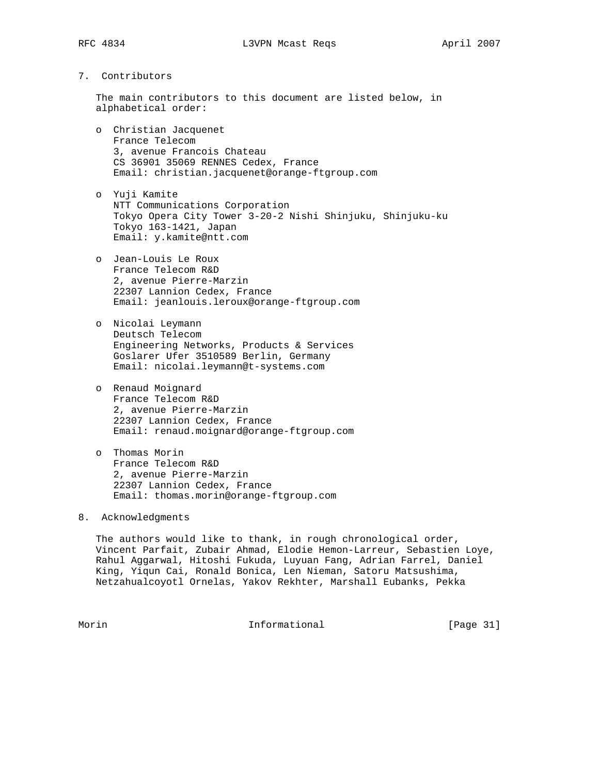# 7. Contributors

 The main contributors to this document are listed below, in alphabetical order:

- o Christian Jacquenet France Telecom 3, avenue Francois Chateau CS 36901 35069 RENNES Cedex, France Email: christian.jacquenet@orange-ftgroup.com
- o Yuji Kamite NTT Communications Corporation Tokyo Opera City Tower 3-20-2 Nishi Shinjuku, Shinjuku-ku Tokyo 163-1421, Japan Email: y.kamite@ntt.com
- o Jean-Louis Le Roux France Telecom R&D 2, avenue Pierre-Marzin 22307 Lannion Cedex, France Email: jeanlouis.leroux@orange-ftgroup.com
- o Nicolai Leymann Deutsch Telecom Engineering Networks, Products & Services Goslarer Ufer 3510589 Berlin, Germany Email: nicolai.leymann@t-systems.com
- o Renaud Moignard France Telecom R&D 2, avenue Pierre-Marzin 22307 Lannion Cedex, France Email: renaud.moignard@orange-ftgroup.com
- o Thomas Morin France Telecom R&D 2, avenue Pierre-Marzin 22307 Lannion Cedex, France Email: thomas.morin@orange-ftgroup.com
- 8. Acknowledgments

 The authors would like to thank, in rough chronological order, Vincent Parfait, Zubair Ahmad, Elodie Hemon-Larreur, Sebastien Loye, Rahul Aggarwal, Hitoshi Fukuda, Luyuan Fang, Adrian Farrel, Daniel King, Yiqun Cai, Ronald Bonica, Len Nieman, Satoru Matsushima, Netzahualcoyotl Ornelas, Yakov Rekhter, Marshall Eubanks, Pekka

Morin **Informational Informational** [Page 31]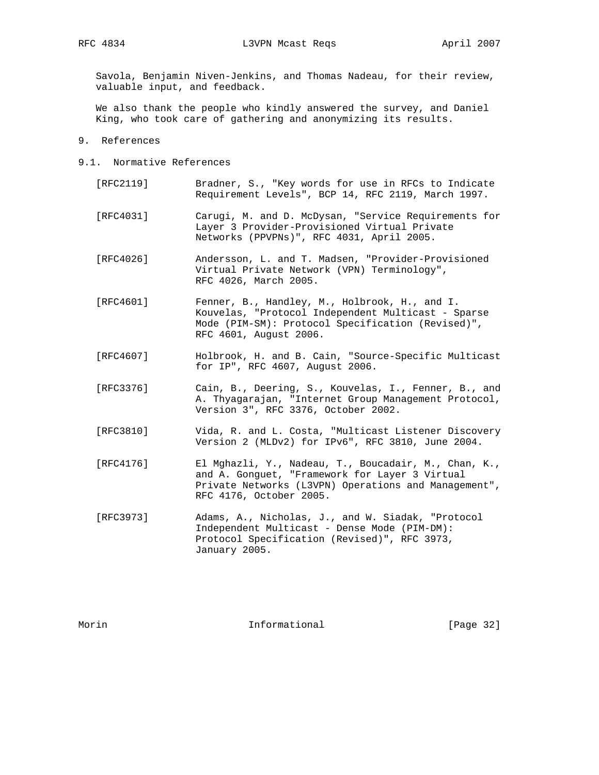Savola, Benjamin Niven-Jenkins, and Thomas Nadeau, for their review, valuable input, and feedback.

 We also thank the people who kindly answered the survey, and Daniel King, who took care of gathering and anonymizing its results.

- 9. References
- 9.1. Normative References
	- [RFC2119] Bradner, S., "Key words for use in RFCs to Indicate Requirement Levels", BCP 14, RFC 2119, March 1997.
	- [RFC4031] Carugi, M. and D. McDysan, "Service Requirements for Layer 3 Provider-Provisioned Virtual Private Networks (PPVPNs)", RFC 4031, April 2005.
	- [RFC4026] Andersson, L. and T. Madsen, "Provider-Provisioned Virtual Private Network (VPN) Terminology", RFC 4026, March 2005.
	- [RFC4601] Fenner, B., Handley, M., Holbrook, H., and I. Kouvelas, "Protocol Independent Multicast - Sparse Mode (PIM-SM): Protocol Specification (Revised)", RFC 4601, August 2006.
	- [RFC4607] Holbrook, H. and B. Cain, "Source-Specific Multicast for IP", RFC 4607, August 2006.
	- [RFC3376] Cain, B., Deering, S., Kouvelas, I., Fenner, B., and A. Thyagarajan, "Internet Group Management Protocol, Version 3", RFC 3376, October 2002.
	- [RFC3810] Vida, R. and L. Costa, "Multicast Listener Discovery Version 2 (MLDv2) for IPv6", RFC 3810, June 2004.
	- [RFC4176] El Mghazli, Y., Nadeau, T., Boucadair, M., Chan, K., and A. Gonguet, "Framework for Layer 3 Virtual Private Networks (L3VPN) Operations and Management", RFC 4176, October 2005.
	- [RFC3973] Adams, A., Nicholas, J., and W. Siadak, "Protocol Independent Multicast - Dense Mode (PIM-DM): Protocol Specification (Revised)", RFC 3973, January 2005.

Morin **Informational Informational** [Page 32]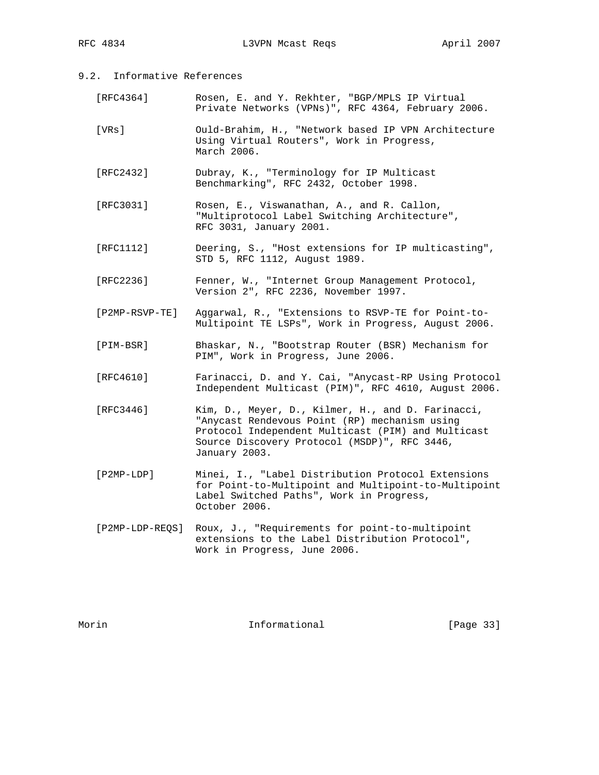9.2. Informative References

| [RFC4364] |  |  |  | Rosen, E. and Y. Rekhter, "BGP/MPLS IP Virtual     |  |
|-----------|--|--|--|----------------------------------------------------|--|
|           |  |  |  | Private Networks (VPNs)", RFC 4364, February 2006. |  |

- [VRs] Ould-Brahim, H., "Network based IP VPN Architecture Using Virtual Routers", Work in Progress, March 2006.
- [RFC2432] Dubray, K., "Terminology for IP Multicast Benchmarking", RFC 2432, October 1998.
- [RFC3031] Rosen, E., Viswanathan, A., and R. Callon, "Multiprotocol Label Switching Architecture", RFC 3031, January 2001.
- [RFC1112] Deering, S., "Host extensions for IP multicasting", STD 5, RFC 1112, August 1989.
- [RFC2236] Fenner, W., "Internet Group Management Protocol, Version 2", RFC 2236, November 1997.
- [P2MP-RSVP-TE] Aggarwal, R., "Extensions to RSVP-TE for Point-to- Multipoint TE LSPs", Work in Progress, August 2006.
- [PIM-BSR] Bhaskar, N., "Bootstrap Router (BSR) Mechanism for PIM", Work in Progress, June 2006.
- [RFC4610] Farinacci, D. and Y. Cai, "Anycast-RP Using Protocol Independent Multicast (PIM)", RFC 4610, August 2006.
- [RFC3446] Kim, D., Meyer, D., Kilmer, H., and D. Farinacci, "Anycast Rendevous Point (RP) mechanism using Protocol Independent Multicast (PIM) and Multicast Source Discovery Protocol (MSDP)", RFC 3446, January 2003.
- [P2MP-LDP] Minei, I., "Label Distribution Protocol Extensions for Point-to-Multipoint and Multipoint-to-Multipoint Label Switched Paths", Work in Progress, October 2006.
- [P2MP-LDP-REQS] Roux, J., "Requirements for point-to-multipoint extensions to the Label Distribution Protocol", Work in Progress, June 2006.

Morin **Informational Informational** [Page 33]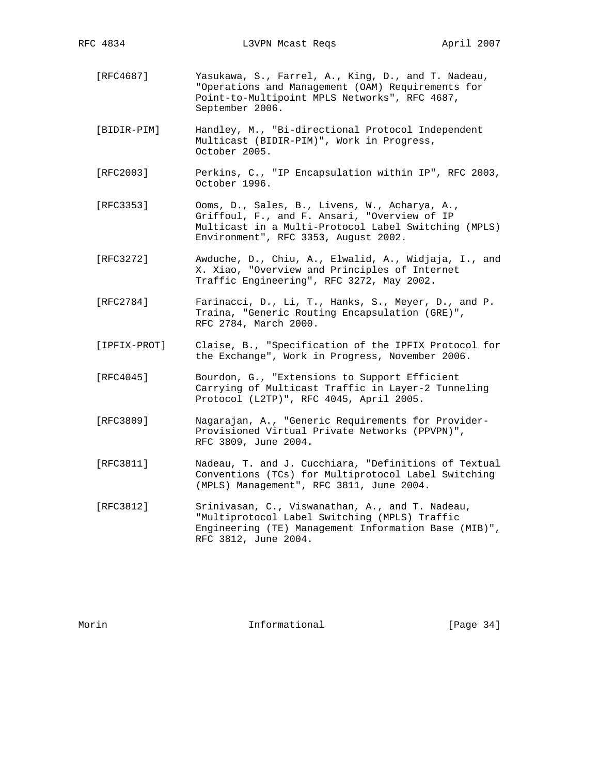- [RFC4687] Yasukawa, S., Farrel, A., King, D., and T. Nadeau, "Operations and Management (OAM) Requirements for Point-to-Multipoint MPLS Networks", RFC 4687, September 2006.
- [BIDIR-PIM] Handley, M., "Bi-directional Protocol Independent Multicast (BIDIR-PIM)", Work in Progress, October 2005.
- [RFC2003] Perkins, C., "IP Encapsulation within IP", RFC 2003, October 1996.
- [RFC3353] Ooms, D., Sales, B., Livens, W., Acharya, A., Griffoul, F., and F. Ansari, "Overview of IP Multicast in a Multi-Protocol Label Switching (MPLS) Environment", RFC 3353, August 2002.
- [RFC3272] Awduche, D., Chiu, A., Elwalid, A., Widjaja, I., and X. Xiao, "Overview and Principles of Internet Traffic Engineering", RFC 3272, May 2002.
- [RFC2784] Farinacci, D., Li, T., Hanks, S., Meyer, D., and P. Traina, "Generic Routing Encapsulation (GRE)", RFC 2784, March 2000.
- [IPFIX-PROT] Claise, B., "Specification of the IPFIX Protocol for the Exchange", Work in Progress, November 2006.
- [RFC4045] Bourdon, G., "Extensions to Support Efficient Carrying of Multicast Traffic in Layer-2 Tunneling Protocol (L2TP)", RFC 4045, April 2005.
- [RFC3809] Nagarajan, A., "Generic Requirements for Provider- Provisioned Virtual Private Networks (PPVPN)", RFC 3809, June 2004.
- [RFC3811] Nadeau, T. and J. Cucchiara, "Definitions of Textual Conventions (TCs) for Multiprotocol Label Switching (MPLS) Management", RFC 3811, June 2004.
- [RFC3812] Srinivasan, C., Viswanathan, A., and T. Nadeau, "Multiprotocol Label Switching (MPLS) Traffic Engineering (TE) Management Information Base (MIB)", RFC 3812, June 2004.

Morin **Informational Informational** [Page 34]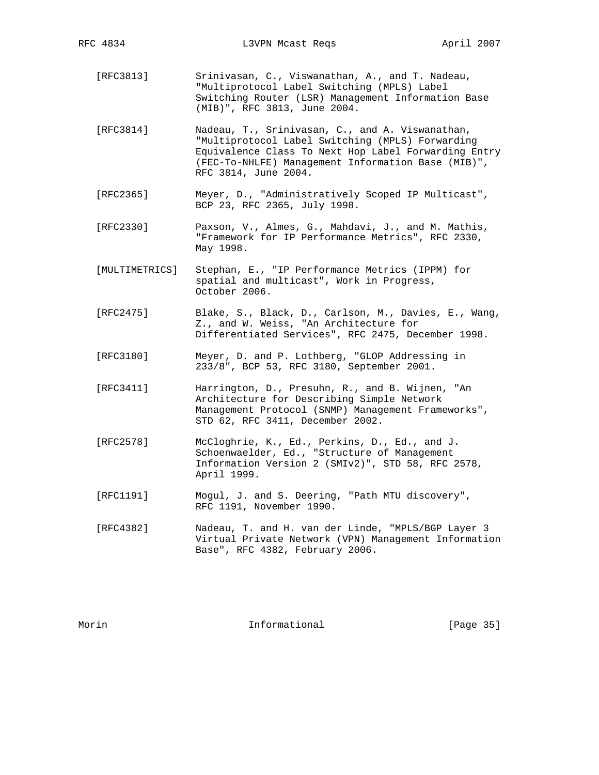- [RFC3813] Srinivasan, C., Viswanathan, A., and T. Nadeau, "Multiprotocol Label Switching (MPLS) Label Switching Router (LSR) Management Information Base (MIB)", RFC 3813, June 2004.
- [RFC3814] Nadeau, T., Srinivasan, C., and A. Viswanathan, "Multiprotocol Label Switching (MPLS) Forwarding Equivalence Class To Next Hop Label Forwarding Entry (FEC-To-NHLFE) Management Information Base (MIB)", RFC 3814, June 2004.
- [RFC2365] Meyer, D., "Administratively Scoped IP Multicast", BCP 23, RFC 2365, July 1998.
- [RFC2330] Paxson, V., Almes, G., Mahdavi, J., and M. Mathis, "Framework for IP Performance Metrics", RFC 2330, May 1998.
- [MULTIMETRICS] Stephan, E., "IP Performance Metrics (IPPM) for spatial and multicast", Work in Progress, October 2006.
- [RFC2475] Blake, S., Black, D., Carlson, M., Davies, E., Wang, Z., and W. Weiss, "An Architecture for Differentiated Services", RFC 2475, December 1998.
- [RFC3180] Meyer, D. and P. Lothberg, "GLOP Addressing in 233/8", BCP 53, RFC 3180, September 2001.
- [RFC3411] Harrington, D., Presuhn, R., and B. Wijnen, "An Architecture for Describing Simple Network Management Protocol (SNMP) Management Frameworks", STD 62, RFC 3411, December 2002.
- [RFC2578] McCloghrie, K., Ed., Perkins, D., Ed., and J. Schoenwaelder, Ed., "Structure of Management Information Version 2 (SMIv2)", STD 58, RFC 2578, April 1999.
- [RFC1191] Mogul, J. and S. Deering, "Path MTU discovery", RFC 1191, November 1990.
- [RFC4382] Nadeau, T. and H. van der Linde, "MPLS/BGP Layer 3 Virtual Private Network (VPN) Management Information Base", RFC 4382, February 2006.

Morin **Informational Informational** [Page 35]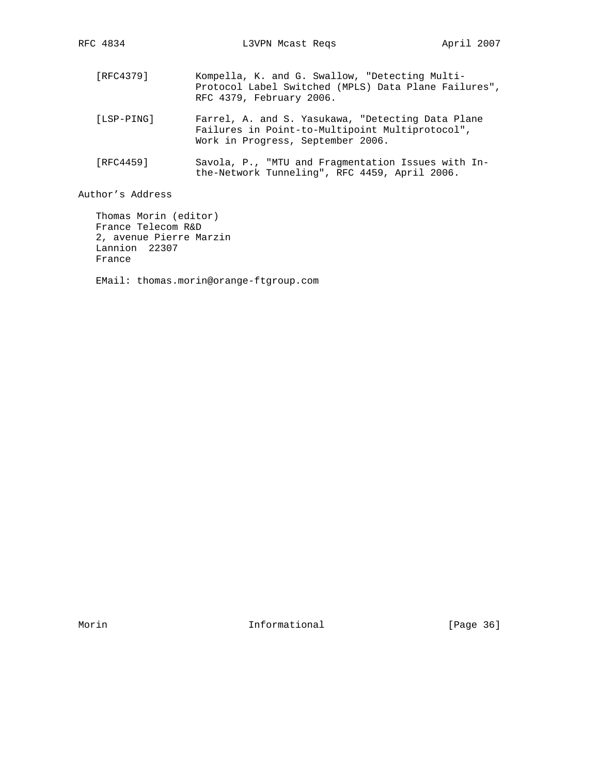[RFC4379] Kompella, K. and G. Swallow, "Detecting Multi- Protocol Label Switched (MPLS) Data Plane Failures", RFC 4379, February 2006. [LSP-PING] Farrel, A. and S. Yasukawa, "Detecting Data Plane Failures in Point-to-Multipoint Multiprotocol", Work in Progress, September 2006. [RFC4459] Savola, P., "MTU and Fragmentation Issues with In the-Network Tunneling", RFC 4459, April 2006.

Author's Address

 Thomas Morin (editor) France Telecom R&D 2, avenue Pierre Marzin Lannion 22307 France

EMail: thomas.morin@orange-ftgroup.com

Morin **Informational Informational** [Page 36]